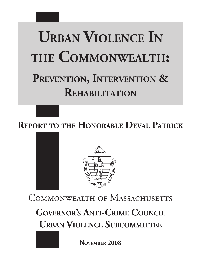# **Urban Violence In the Commonwealth:**

# PREVENTION, **INTERVENTION & Rehabilitation**

**Report to the Honorable Deval Patrick**



COMMONWEALTH OF MASSACHUSETTS

**Governor's Anti-Crime Council Urban Violence Subcommittee**

**November 2008**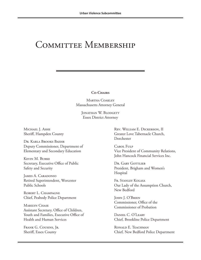### COMMITTEE MEMBERSHIP

**Co-Chairs**

Martha Coakley Massachusetts Attorney General

JONATHAN W. BLODGETT Essex District Attorney

MICHAEL J. ASHE Sheriff, Hampden County

Dr. Karla Brooks Baehr Deputy Commissioner, Department of Elementary and Secondary Education

Kevin M. Burke Secretary, Executive Office of Public Safety and Security

James A. Caradonio Retired Superintendent, Worcester Public Schools

ROBERT L. CHAMPAGNE Chief, Peabody Police Department

MARILYN CHASE Assistant Secretary, Office of Children, Youth and Families, Executive Office of Health and Human Services

Frank G. Cousins, Jr. Sheriff, Essex County

Rev. William E. Dickerson, II Greater Love Tabernacle Church, Dorchester

Carol Fulp Vice President of Community Relations, John Hancock Financial Services Inc.

Dr. GARY GOTTLIEB President, Brigham and Women's Hospital

Fr. Stanley Kolasa Our Lady of the Assumption Church, New Bedford

John J. O'Brien Commissioner, Office of the Commissioner of Probation

Daniel C. O'Leary Chief, Brookline Police Department

RONALD E. TEACHMAN Chief, New Bedford Police Department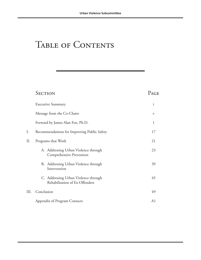### TABLE OF CONTENTS

### SECTION PAGE

|      | <b>Executive Summary</b>                                               |    |  |  |  |  |  |  |  |
|------|------------------------------------------------------------------------|----|--|--|--|--|--|--|--|
|      | Message from the Co-Chairs                                             | V  |  |  |  |  |  |  |  |
|      | Forward by James Alan Fox, Ph.D.                                       | 1  |  |  |  |  |  |  |  |
| I.   | Recommendations for Improving Public Safety                            |    |  |  |  |  |  |  |  |
| II.  | Programs that Work                                                     |    |  |  |  |  |  |  |  |
|      | A. Addressing Urban Violence through<br>Comprehensive Prevention       | 23 |  |  |  |  |  |  |  |
|      | B. Addressing Urban Violence through<br>Intervention                   | 39 |  |  |  |  |  |  |  |
|      | C. Addressing Urban Violence through<br>Rehabilitation of Ex-Offenders | 45 |  |  |  |  |  |  |  |
| III. | Conclusion                                                             | 49 |  |  |  |  |  |  |  |
|      | Appendix of Program Contacts                                           | A1 |  |  |  |  |  |  |  |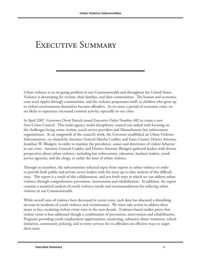### EXECUTIVE SUMMARY

Urban violence is an on-going problem in our Commonwealth and throughout the United States. Violence is devastating for victims, their families, and their communities. The human and economic costs send ripples through communities, and the violence perpetuates itself, as children who grow up in violent environments themselves become offenders. As we enter a period of economic crisis, we are likely to experience increased criminal activity, especially in our cities.

In April 2007, Governor Deval Patrick issued Executive Order Number 482 to create a new Anti-Crime Council. This multi-agency, multi-disciplinary council was tasked with focusing on the challenges facing crime victims, social service providers and Massachusetts law enforcement organizations. As an outgrowth of the council's work, the Governor established an Urban Violence Subcommittee, co-chaired by Attorney General Martha Coakley and Essex County District Attorney Jonathan W. Blodgett, in order to examine the prevalence, causes and deterrence of violent behavior in our cities. Attorney General Coakley and District Attorney Blodgett gathered leaders with diverse perspectives about urban violence, including law enforcement, educators, business leaders, youth service agencies, and the clergy, to tackle the issue of urban violence.

Through its members, the subcommittee solicited input from experts in urban violence in order to provide both public and private sector leaders with the most up-to-date analysis of this difficult issue. This report is a result of this collaboration, and sets forth ways in which we can address urban violence through comprehensive prevention, intervention and rehabilitation. In addition, the report contains a statistical analysis of youth violence trends and recommendations for reducing urban violence in our Commonwealth.

While overall rates of violence have decreased in recent years, such data has obscured a disturbing increase in incidents of youth violence and victimization. We must take action to address these issues or face escalating violent crime rates in the next decade. Evidence-based studies prove that violent crime is best addressed though a combination of prevention, intervention and rehabilitation. Programs providing youth employment opportunities, mentoring, substance abuse treatment, school initiatives, community policing, and re-entry services for ex-offenders are effective ways to target these areas.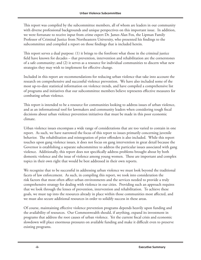This report was compiled by the subcommittee members, all of whom are leaders in our community with diverse professional backgrounds and unique perspectives on this important issue. In addition, we were fortunate to receive input from crime expert Dr. James Alan Fox, the Lipman Family Professor of Criminal Justice from Northeastern University, who presented his findings to the subcommittee and compiled a report on those findings that is included herein.

This report serves a dual purpose: (1) it brings to the forefront what those in the criminal justice field have known for decades – that prevention, intervention and rehabilitation are the cornerstones of a safe community; and (2) it serves as a resource for individual communities to discern what new strategies they may wish to implement for effective change.

Included in this report are recommendations for reducing urban violence that take into account the research on comprehensive and successful violence prevention. We have also included some of the most up-to-date statistical information on violence trends, and have compiled a comprehensive list of programs and initiatives that our subcommittee members believe represents effective measures for combating urban violence.

This report is intended to be a resource for communities looking to address issues of urban violence, and as an informational tool for lawmakers and community leaders when considering tough fiscal decisions about urban violence prevention initiatives that must be made in this poor economic climate.

Urban violence issues encompass a wide range of considerations that are too varied to contain in one report. As such, we have narrowed the focus of this report to issues primarily concerning juvenile behavior. The rehabilitation and reintegration of prior offenders is also included. While this report touches upon gang violence issues, it does not focus on gang intervention in great detail because the Governor is establishing a separate subcommittee to address the particular issues associated with gang violence. Additionally, this report does not specifically address problems brought about by both domestic violence and the issue of violence among young women. These are important and complex topics in their own right that would be best addressed in their own reports.

We recognize that to be successful in addressing urban violence we must look beyond the traditional facets of law enforcement. As such, in compiling this report, we took into consideration the risk factors that most often affect urban environments and the services needed to provide a truly comprehensive strategy for dealing with violence in our cities. Providing such an approach requires that we look through the lenses of prevention, intervention and rehabilitation. To achieve these goals, we must tap into the resources already in place within those communities most affected, and we must also secure additional resources in order to solidify success in these areas.

Of course, maintaining effective violence prevention programs depends heavily upon funding and the availability of resources. Our Commonwealth should, if anything, expand its investment in programs that address the root causes of urban violence. Yet the current fiscal crisis and economic slowdown will place enormous pressures on available funding and make it difficult even to preserve existing programs.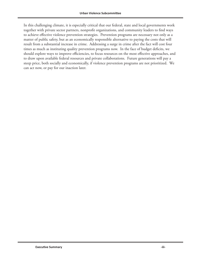In this challenging climate, it is especially critical that our federal, state and local governments work together with private sector partners, nonprofit organizations, and community leaders to find ways to achieve effective violence prevention strategies. Prevention programs are necessary not only as a matter of public safety, but as an economically responsible alternative to paying the costs that will result from a substantial increase in crime. Addressing a surge in crime after the fact will cost four times as much as instituting quality prevention programs now. In the face of budget deficits, we should explore ways to improve efficiencies, to focus resources on the most effective approaches, and to draw upon available federal resources and private collaborations. Future generations will pay a steep price, both socially and economically, if violence prevention programs are not prioritized. We can act now, or pay for our inaction later.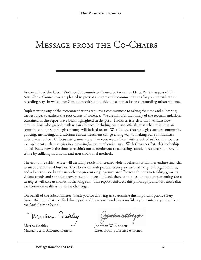### Message from the Co-Chairs

As co-chairs of the Urban Violence Subcommittee formed by Governor Deval Patrick as part of his Anti-Crime Council, we are pleased to present a report and recommendations for your consideration regarding ways in which our Commonwealth can tackle the complex issues surrounding urban violence.

Implementing any of the recommendations requires a commitment to taking the time and allocating the resources to address the root causes of violence. We are mindful that many of the recommendations contained in this report have been highlighted in the past. However, it is clear that we must now remind those who grapple with urban violence, including our state officials, that when resources are committed to these strategies, change will indeed occur. We all know that strategies such as community policing, mentoring, and substance abuse treatment can go a long way to making our communities safer places to live. Unfortunately, now more than ever, we are faced with a lack of sufficient resources to implement such strategies in a meaningful, comprehensive way. With Governor Patrick's leadership on this issue, now is the time to re-think our commitment to allocating sufficient resources to prevent crime by utilizing traditional and non-traditional methods.

The economic crisis we face will certainly result in increased violent behavior as families endure financial strain and emotional hurdles. Collaboration with private sector partners and nonprofit organizations, and a focus on tried and true violence prevention programs, are effective solutions to tackling growing violent trends and shrinking government budgets. Indeed, there is no question that implementing these strategies will save us money in the long run. This report reinforces this philosophy, and we believe that the Commonwealth is up to the challenge.

On behalf of the subcommittee, thank you for allowing us to examine this important public safety issue. We hope that you find this report and its recommendations useful as you continue your work on the Anti-Crime Council.

Martina Coahley

Martha Coakley **Jonathan W. Blodgett** Massachusetts Attorney General Essex County District Attorney

Jonathan Wolodgett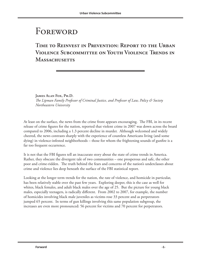### Foreword

### TIME TO REINVEST IN PREVENTION: REPORT TO THE URBAN **Violence Subcommittee on Youth Violence Trends in Massachusetts**

**James Alan Fox, Ph.D.** *The Lipman Family Professor of Criminal Justice, and Professor of Law, Policy & Society Northeastern University*

At least on the surface, the news from the crime front appears encouraging. The FBI, in its recent release of crime figures for the nation, reported that violent crime in 2007 was down across the board compared to 2006, including a 1.3 percent decline in murder. Although welcomed and widely cheered, the news contrasts sharply with the experience of countless Americans living (and some dying) in violence-infested neighborhoods – those for whom the frightening sounds of gunfire is a far too frequent occurrence.

It is not that the FBI figures tell an inaccurate story about the state of crime trends in America. Rather, they obscure the divergent tale of two communities – one prosperous and safe, the other poor and crime-ridden. The truth behind the fears and concerns of the nation's underclasses about crime and violence lies deep beneath the surface of the FBI statistical report.

Looking at the longer term trends for the nation, the rate of violence, and homicide in particular, has been relatively stable over the past few years. Exploring deeper, this is the case as well for whites, black females, and adult black males over the age of 25. But the picture for young black males, especially teenagers, is radically different. From 2002 to 2007, for example, the number of homicides involving black male juveniles as victims rose 33 percent and as perpetrators jumped 65 percent. In terms of gun killings involving this same population subgroup, the increases are even more pronounced: 56 percent for victims and 70 percent for perpetrators.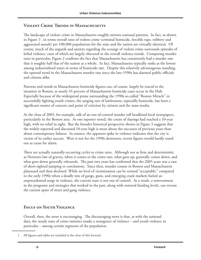#### **Violent Crime Trends in Massachusetts**

The landscape of violent crime in Massachusetts roughly mirrors national patterns. In fact, as shown in Figure 11 , in terms overall rates of violent crime (criminal homicide, forcible rape, robbery and aggravated assault) per 100,000 populations for the state and the nation are virtually identical. Of course, much of the anguish and anxiety regarding the scourge of violent crime surrounds episodes of lethal violence, rates of which are largely obscured in the overall violence trends. Comparing murder rates in particular, Figure 2 confirms the fact that Massachusetts has consistently had a murder rate that is roughly half that of the nation as a whole. In fact, Massachusetts typically ranks as the lowest among industrialized states in terms of homicide rate. Despite this relatively advantageous standing, the upward trend in the Massachusetts murder rate since the late-1990s has alarmed public officials and citizens alike.

Patterns and trends in Massachusetts homicide figures can, of course, largely be traced to the situation in Boston, as nearly 45 percent of Massachusetts homicide cases occur in the Hub. Especially because of the widespread praise surrounding the 1990s so-called "Boston Miracle" in successfully fighting youth crimes, the surging rate of lawlessness, especially homicide, has been a significant matter of concern and point of criticism by citizens and the mass media.

At the close of 2005, for example, talk of an out-of-control murder toll headlined local newspapers, particularly in the Boston area. As one reporter noted, the count of slayings had reached a 10-year high, with no relief in sight. But the broader historical perspective shown in Figure 3 suggests that the widely-reported and discussed 10-year high is more about the successes of previous years than about contemporary failures. In essence, the apparent spike in violence indicates that the city is victim of its earlier success. Were it not for the 1990s downturn, recent figures would hardly stand out as cause for alarm.

There are actually naturally-occurring cycles to crime rates. Although not as firm and deterministic as Newton's law of gravity, when it comes to the crime rate, what goes up, generally comes down, and what goes down generally rebounds. The past two years has confirmed that the 2005 scare was a case of short-sighted jumping to conclusions. Since then, murder counts in Boston and Massachusetts plateaued and then declined. While no level of victimization can be termed "acceptable," compared to the early 1990s when a deadly mix of gangs, guns, and emerging crack markets fueled an unprecedented surge in violence, the current state is not out of control. As a result, a reinvestment in the programs and strategies that worked in the past, along with restored funding levels, can reverse the current spate of street and gang violence.

#### **Focus on Youth Violence**

Overall, then, the news is encouraging. The discouraging news is that, as with the national data, the steady state of crime statistics masks a resurgence of violence – and youth violence in particular – among certain segments of the population.

<sup>1</sup> All figures and tables are included at the close of this forward.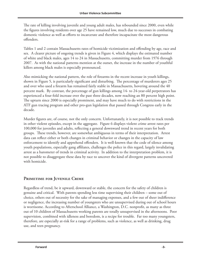The rate of killing involving juvenile and young adult males, has rebounded since 2000, even while the figures involving residents over age 25 have remained low, much due to successes in combating domestic violence as well as efforts to incarcerate and therefore incapacitate the most dangerous offenders.

Tables 1 and 2 contain Massachusetts rates of homicide victimization and offending by age, race and sex. A clearer picture of ongoing trends is given in Figure 4, which displays the estimated number of white and black males, ages 14 to 24 in Massachusetts, committing murder from 1976 through 2007. As with the national patterns mention at the outset, the increase in the number of youthful killers among black males is especially pronounced.

Also mimicking the national pattern, the role of firearms in the recent increase in youth killings, shown in Figure 5, is particularly significant and disturbing. The percentage of murderers ages 25 and over who used a firearm has remained fairly stable in Massachusetts, hovering around the 40 percent mark. By contrast, the percentage of gun killings among 14- to 24-year-old perpetrators has experienced a four-fold increase over the past three decades, now reaching an 80 percent high point. The upturn since 2000 is especially prominent, and may have much to do with restrictions in the ATF gun tracing program and other pro-gun legislation that passed through Congress early in the decade.

Murder figures are, of course, not the only concern. Unfortunately, it is not possible to track trends in other violent episodes, except in the aggregate. Figure 6 displays violent crime arrest rates per 100,000 for juveniles and adults, reflecting a general downward trend in recent years for both groups. These trends, however, are somewhat ambiguous in terms of their interpretation. Arrest data can reflect either or both changes in criminal behavior or changes in the capacity of law enforcement to identify and apprehend offenders. It is well-known that the code of silence among youth populations, especially gang affiliates, challenges the police in this regard, largely invalidating arrest as a barometer of trends in criminal activity. In addition to the interpretation problem, it is not possible to disaggregate these data by race to uncover the kind of divergent patterns uncovered with homicide.

#### PRIMETIME FOR JUVENILE CRIME

Regardless of trend, be it upward, downward or stable, the concern for the safety of children is genuine and critical. With parents spending less time supervising their children – some out of choice, others out of necessity for the sake of managing expenses, and a few out of sheer indifference or negligence, the increasing number of youngsters who are unsupervised during out of school hours is worrisome. According to Afterschool Alliance, a Washington, D.C. nonprofit, as many as three out of 10 children of Massachusetts working parents are totally unsupervised in the afternoons. Poor supervision, combined with idleness and boredom, is a recipe for trouble. Far too many youngsters, therefore, are especially at-risk for a range of problems, such as violence, as well as drinking, drug use, and teen pregnancy.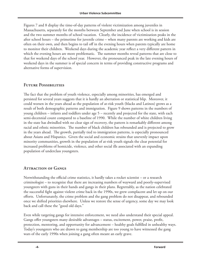Figures 7 and 8 display the time-of-day patterns of violent victimization among juveniles in Massachusetts, separately for the months between September and June when school is in session and the two summer months of school vacation. Clearly, the incidence of victimization peaks in the after school hours – the primetime for juvenile crime – when many parents are working and kids are often on their own, and then begins to tail off in the evening hours when parents typically are home to monitor their children. Weekend days during the academic year reflect a very different pattern in which the evening hours are more problematic. The summer months reveal patterns that are close to that for weekend days of the school year. However, the pronounced peak in the late evening hours of weekend days in the summer is of special concern in terms of providing constructive programs and alternative forms of supervision.

#### **Future Possibilities**

The fact that the problem of youth violence, especially among minorities, has emerged and persisted for several years suggests that it is hardly an aberration or statistical blip. Moreover, it could worsen in the years ahead as the population of at-risk youth (blacks and Latinos) grows as a result of both demographic patterns and immigration. Figure 9 shows patterns in the numbers of young children – infants and toddlers under age 5 – recently and projected for the state, with each semi-decennial count compared to a baseline of 1990. While the number of white children living in the state has dwindled with no clear sign of recovery, the pattern is remarkably different among racial and ethnic minorities. The number of black children has rebounded and is projected to grow in the years ahead. The growth, partially tied to immigration patterns, is especially pronounced about Asians and Hispanics. Given the social and economic strains that unevenly impact upon minority communities, growth in the population of at-risk youth signals the clear potential for increased problems of homicide, violence, and other social ills associated with an expanding population of underclass youngsters.

#### **Attraction of Gangs**

Notwithstanding the official crime statistics, it hardly takes a rocket scientist – or a research criminologist – to recognize that there are increasing numbers of wayward and poorly-supervised youngsters with guns in their hands and gangs in their plans. Regrettably, as the nation celebrated the successful fight against violent crime back in the 1990s, we grew complacent and let up on our efforts. Unfortunately, the crime problem and the gang problem do not disappear, and rebounded once we shifted priorities elsewhere. Unless we restore the sense of urgency, some day we may look back and call these the "good old days."

Even while targeting gangs for intensive enforcement, we need also understand their special appeal. Gangs offer youngsters many desirable advantages – status, excitement, power, praise, profit, protection, mentoring, and opportunity for advancement – healthy goals fulfilled in unhealthy ways. Today's youngsters who are drawn to gang membership are too young to have witnessed the gang wars of the early 1990s when joining a gang often meant an early grave.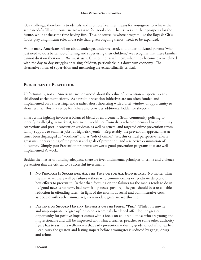Our challenge, therefore, is to identify and promote healthier means for youngsters to achieve the same need-fulfillment, constructive ways to feel good about themselves and their prospects for the future, while at the same time having fun. This, of course, is where program like the Boys & Girls Clubs play a significant role, and a role that, given ongoing trends, needs to be expanded.

While many Americans rail on about underage, underprepared, and undermotivated parents "who just need to do a better job of raising and supervising their children," we recognize that these families cannot do it on their own. We must assist families, not assail them, when they become overwhelmed with the day-to-day struggles of raising children, particularly in a downturn economy. The alternative forms of supervision and mentoring are extraordinarily critical.

#### **Principles of Prevention**

Unfortunately, not all Americans are convinced about the value of prevention – especially early childhood enrichment efforts. As a result, prevention initiatives are too often funded and implemented on a shoestring, and a rather short shoestring with a brief window of opportunity to show results. This is a recipe for failure and provides additional fodder for skeptics.

Smart crime fighting involves a balanced blend of enforcement (from community policing to identifying illegal gun markets), treatment modalities (from drug rehab on demand to community corrections and post-incarceration services), as well as general and targeted crime prevention (from family support to summer jobs for high-risk youth). Regrettably, the prevention approach has at times been disparaged as "worthless" and as "soft of crime." Yet, this cynical perspective reflects gross misunderstanding of the process and goals of prevention, and a selective examination of outcomes. Simply put: Prevention programs *can* work; good prevention programs that are wellimplemented *do* work.

Besides the matter of funding adequacy, there are five fundamental principles of crime and violence prevention that are critical to a successful investment:

- 1. **No Program Is Successful All the Time or for All Individuals.** No matter what the initiative, there will be failures – those who commit crimes or recidivate despite our best efforts to prevent it. Rather than focusing on the failures (as the media tends to do in its "good news is no news, bad news is big news" posture), the goal should be a reasonable reduction in offending rates. In light of the enormous social and administrative costs associated with each criminal act, even modest gains are worthwhile.
- 2. **Prevention Should Have an Emphasis on the Prefix "Pre."** While it is unwise and inappropriate to "give up" on even a seemingly hardened offender, the greatest opportunity for positive impact comes with a focus on children – those who are young and impressionable and will be impressed with what a teacher, preacher or some other authority figure has to say. It is well-known that early prevention – during grade school if not earlier – can carry the greatest and lasting impact before a youngster is seduced by gangs, drugs and crime.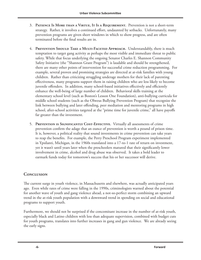- 3. **Patience Is More than a Virtue, It Is a Requirement.** Prevention is not a short-term strategy. Rather, it involves a continued effort, undaunted by setbacks. Unfortunately, many prevention programs are given short windows in which to show progress, and are often terminated before the final results are in.
- 4. **Prevention Should Take a Multi-Faceted Approach.** Understandably, there is much temptation to target gang activity as perhaps the most visible and immediate threat to public safety. While that focus underlying the ongoing Senator Charles E. Shannon Community Safety Initiative (the "Shannon Grant Program") is laudable and should be strengthened, there are many other points of intervention for successful crime reduction programming. For example, several proven and promising strategies are directed at at-risk families with young children. Rather than criticizing struggling underage mothers for their lack of parenting effectiveness, many programs support them in raising children who are less likely to become juvenile offenders. In addition, many school-based initiatives effectively and efficiently enhance the well-being of large number of children. Behavioral skills training at the elementary school level (such as Boston's Lesson One Foundation), anti-bullying curricula for middle school students (such as the Olweus Bullying Prevention Program) that recognize the link between bullying and later offending, peer mediation and mentoring programs in high school, after-school activities targeted at the "prime time for juvenile crime," all have payoffs far greater than the investment.
- 5. **Prevention is Significantly Cost-Effective.** Virtually all assessments of crime prevention confirm the adage that an ounce of prevention is worth a pound of prison time. It is, however, a political reality that sound investments in crime prevention can take years to reap the benefits. For example, the Perry Preschool Program experiment implemented in Ypsilanti, Michigan, in the 1960s translated into a 17-to-1 rate of return on investment, yet it wasn't until years later when the preschoolers matured that their significantly lower involvement in crime, alcohol and drug abuse was observed. It takes a bold leader to earmark funds today for tomorrow's success that his or her successor will derive.

#### **Conclusion**

The current surge in youth violence, in Massachusetts and elsewhere, was actually anticipated years ago. Even while rates of crime were falling in the 1990s, criminologists warned about the potential for another wave of youth and gang violence ahead, a not-so-perfect storm combining an upward trend in the at-risk youth population with a downward trend in spending on social and educational programs to support youth.

Furthermore, we should not be surprised if the concomitant increase in the number of at-risk youth, especially black and Latino children with less than adequate supervision, combined with budget cuts for youth programs, translates into further increases in gang and gun violence. We are already seeing the early signs.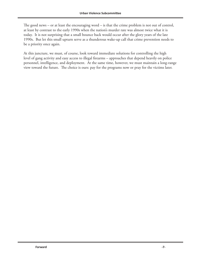The good news – or at least the encouraging word – is that the crime problem is not out of control, at least by contrast to the early 1990s when the nation's murder rate was almost twice what it is today. It is not surprising that a small bounce back would occur after the glory years of the late 1990s. But let this small upturn serve as a thunderous wake-up call that crime prevention needs to be a priority once again.

At this juncture, we must, of course, look toward immediate solutions for controlling the high level of gang activity and easy access to illegal firearms – approaches that depend heavily on police personnel, intelligence, and deployment. At the same time, however, we must maintain a long-range view toward the future. The choice is ours: pay for the programs now or pray for the victims later.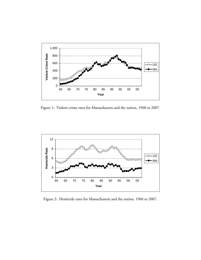

Figure 1: Violent crime rates for Massachusetts and the nation, 1960 to 2007.



Figure 2: Homicide rates for Massachusetts and the nation, 1960 to 2007.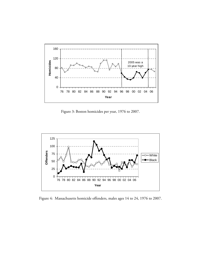

Figure 3: Boston homicides per year, 1976 to 2007.



Figure 4: Massachusetts homicide offenders, males ages 14 to 24, 1976 to 2007.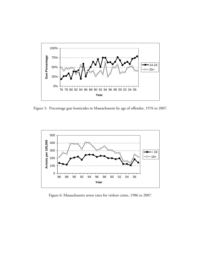

Figure 5: Percentage gun homicides in Massachusetts by age of offender, 1976 to 2007.



Figure 6: Massachusetts arrest rates for violent crime, 1986 to 2007.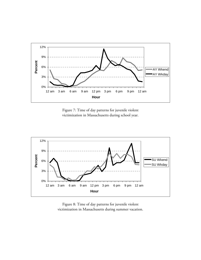

Figure 7: Time of day patterns for juvenile violent victimization in Massachusetts during school year.



Figure 8: Time of day patterns for juvenile violent victimization in Massachusetts during summer vacation.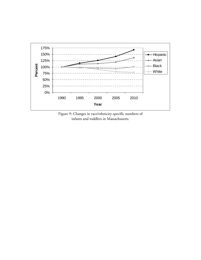

Figure 9: Changes in race/ethnicity-specific numbers of infants and toddlers in Massachusetts.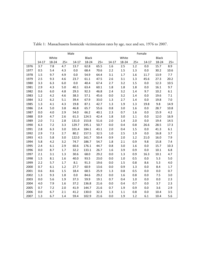|      | Male      |         |         |         |       |       |           | Female  |         |           |              |         |  |  |
|------|-----------|---------|---------|---------|-------|-------|-----------|---------|---------|-----------|--------------|---------|--|--|
|      | White     |         |         |         | Black |       | White     |         |         |           | <b>Black</b> |         |  |  |
|      | $14 - 17$ | 18-24   | $25+$   | $14-17$ | 18-24 | $25+$ | $14 - 17$ | 18-24   | $25+$   | $14 - 17$ | 18-24        | $25+$   |  |  |
| 1976 | 3.7       | 7.8     | 4.7     | 13.7    | 62.8  | 65.5  | 1.6       | 2.5     | $1.2\,$ | $0.0\,$   | 15.7         | 8.9     |  |  |
| 1977 | 0.5       | 5.4     | 4.3     | $0.0\,$ | 68.4  | 70.6  | 2.2       | $1.5\,$ | 1.3     | 0.0       | 30.2         | 10.6    |  |  |
| 1978 | 1.5       | 9.7     | 4.9     | 0.0     | 54.9  | 64.4  | 3.1       | 1.7     | 1.6     | 11.7      | 13.9         | $7.7\,$ |  |  |
| 1979 | 2.5       | 9.3     | 4.6     | 23.7    | 61.1  | 47.5  | 2.6       | 3.1     | 1.3     | 45.6      | 27.3         | 20.2    |  |  |
| 1980 | 3.3       | 6.3     | 6.0     | 0.0     | 40.4  | 67.4  | 2.7       | 3.2     | 1.5     | $0.0\,$   | 12.3         | 10.5    |  |  |
| 1981 | 2.9       | 4.3     | 5.0     | 40.1    | 63.4  | 60.1  | 1.8       | $1.8\,$ | 1.8     | $0.0\,$   | 16.1         | 9.7     |  |  |
| 1982 | 0.6       | $6.0\,$ | 4.8     | 29.3    | 92.3  | 46.8  | 2.4       | 3.2     | $1.4\,$ | 9.7       | $10.2\,$     | $6.1\,$ |  |  |
| 1983 | $1.2\,$   | 4.2     | 4.6     | 38.3    | 57.1  | 45.6  | 0.0       | 3.2     | $1.4\,$ | $0.0\,$   | 19.6         | $7.1\,$ |  |  |
| 1984 | 3.2       | 6.2     | 5.1     | 39.4    | 67.9  | 33.0  | 1.3       | 2.7     | $1.4\,$ | $0.0\,$   | 19.8         | $7.0\,$ |  |  |
| 1985 | 1.3       | 4.1     | 4.3     | 19.8    | 87.1  | 42.7  | 1.3       | 1.9     | 1.3     | 19.8      | 9.8          | 14.9    |  |  |
| 1986 | 2.4       | 5.0     | 3.8     | 46.8    | 65.7  | 55.6  | 0.8       | 3.0     | 1.6     | 0.0       | 28.7         | 10.8    |  |  |
| 1987 | 0.0       | 4.0     | 2.9     | 54.0    | 66.2  | 40.1  | 2.3       | 0.7     | 1.6     | 0.0       | 15.9         | 4.2     |  |  |
| 1988 | 0.9       | 4.7     | 2.6     | 61.3    | 124.5 | 42.4  | 1.8       | 3.0     | 1.1     | 0.0       | 12.0         | 16.9    |  |  |
| 1989 | 2.0       | $7.1\,$ | 2.8     | 131.0   | 153.8 | 51.6  | 2.0       | 1.4     | 2.0     | 0.0       | 19.4         | 14.5    |  |  |
| 1990 | 6.3       | 7.2     | 3.3     | 129.7   | 195.1 | 50.7  | $0.0\,$   | 0.4     | 0.8     | 26.6      | 28.5         | 17.3    |  |  |
| 1991 | 2.8       | 6.3     | 3.0     | 101.4   | 184.1 | 43.1  | $2.0$     | 0.4     | 1.5     | $0.0\,$   | 41.3         | $6.1\,$ |  |  |
| 1992 | 2.9       | 7.3     | 2.7     | 80.2    | 157.5 | 32.5  | $1.0\,$   | 2.5     | 1.9     | $0.0\,$   | 16.8         | 3.7     |  |  |
| 1993 | 4.5       | 5.8     | 3.0     | 122.0   | 161.7 | 50.4  | 0.9       | 2.0     | 1.2     | 21.0      | 16.0         | 7.9     |  |  |
| 1994 | 5.8       | 4.2     | 3.2     | 74.7    | 186.7 | 54.7  | 1.8       | 2.1     | 0.9     | 9.8       | 15.8         | 7.4     |  |  |
| 1995 | 2.4       | 6.1     | 2.9     | 60.6    | 176.1 | 44.7  | 0.8       | 3.0     | 1.6     | $0.0\,$   | 15.7         | 10.3    |  |  |
| 1996 | 0.0       | 8.7     | $1.7\,$ | 32.2    | 133.1 | 26.7  | 1.6       | 3.9     | 0.9     | $0.0\,$   | $10.1\,$     | 6.8     |  |  |
| 1997 | 2.1       | 3.1     | 1.3     | 30.6    | 68.0  | 29.2  | 0.0       | 1.3     | 0.9     | 16.3      | $10.1\,$     | 4.7     |  |  |
| 1998 | 1.5       | 8.1     | 1.6     | 40.0    | 93.5  | 23.0  | 0.0       | $1.0\,$ | 0.5     | 0.0       | 5.3          | 5.0     |  |  |
| 1999 | 2.2       | 5.7     | $1.7\,$ | $8.1\,$ | 91.3  | 19.6  | 0.0       | 1.5     | 0.8     | 8.6       | 5.3          | 4.0     |  |  |
| 2000 | 0.7       | $6.1\,$ | $1.2\,$ | 27.7    | 60.9  | 13.6  | 0.0       | 0.9     | 1.3     | 0.0       | 8.4          | 1.7     |  |  |
| 2001 | 0.6       | 8.6     | 1.5     | 18.4    | 68.5  | 25.9  | 1.3       | $0.8\,$ | 0.5     | $0.0\,$   | $0.0\,$      | 0.7     |  |  |
| 2002 | 1.3       | 9.3     | 1.8     | $0.0\,$ | 84.6  | 29.2  | $0.0\,$   | 1.6     | 0.8     | 0.0       | 7.5          | 3.0     |  |  |
| 2003 | 0.0       | 5.6     | 1.9     | 37.3    | 59.9  | 19.1  | 0.7       | 0.4     | $1.0\,$ | 0.0       | 0.0          | 2.3     |  |  |
| 2004 | 4.0       | 7.9     | 1.6     | 37.2    | 136.8 | 21.6  | 0.0       | 0.4     | 0.7     | 0.0       | 3.7          | 2.3     |  |  |
| 2005 | 0.7       | 7.2     | 2.0     | 41.9    | 144.7 | 21.6  | 0.7       | 1.9     | 0.9     | 0.0       | 3.6          | 2.9     |  |  |
| 2006 | 0.0       | 6.7     | 2.1     | 41.2    | 130.0 | 32.3  | 1.3       | 1.1     | 0.8     | 0.0       | 10.4         | 3.5     |  |  |
| 2007 | 1.3       | 6.7     | 1.4     | 59.4    | 102.9 | 21.6  | 0.0       | 1.9     | 1.2     | 6.1       | 10.4         | 5.6     |  |  |

Table 1: Massachusetts homicide victimization rates by age, race and sex, 1976 to 2007.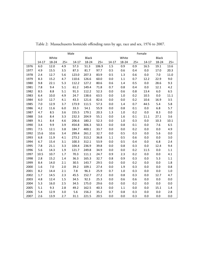|      | Male                  |         |         |           |       |       |         | Female  |       |           |              |         |  |  |
|------|-----------------------|---------|---------|-----------|-------|-------|---------|---------|-------|-----------|--------------|---------|--|--|
|      | White<br><b>Black</b> |         |         |           |       |       | White   |         |       |           | <b>Black</b> |         |  |  |
|      | 14-17                 | 18-24   | $25+$   | $14 - 17$ | 18-24 | $25+$ | 14-17   | 18-24   | $25+$ | $14 - 17$ | 18-24        | $25+$   |  |  |
| 1976 | 6.0                   | 12.0    | 4.9     | 57.3      | 51.3  | 106.9 | 1.5     | 0.9     | 0.9   | 16.5      | 19.1         | 13.6    |  |  |
| 1977 | 4.9                   | 15.5    | 3.5     | 87.3      | 81.7  | 97.7  | 0.5     | 0.6     | 0.4   | $0.0\,$   | 17.0         | 20.3    |  |  |
| 1978 | 2.4                   | 12.7    | 5.6     | 123.0     | 207.3 | 83.9  | 0.5     | 1.3     | 0.6   | 0.0       | 7.0          | 11.0    |  |  |
| 1979 | 8.3                   | 15.2    | 4.7     | 110.6     | 126.6 | 60.0  | 0.0     | $1.1\,$ | 0.7   | 12.2      | 22.9         | 9.0     |  |  |
| 1980 | 9.8                   | 22.1    | 5.3     | 112.2     | 127.2 | 80.6  | 0.6     | 1.4     | 0.5   | 0.0       | 28.6         | 9.3     |  |  |
| 1981 | 7.8                   | 9.4     | 5.1     | 61.2      | 149.4 | 71.8  | 0.7     | 0.8     | 0.4   | $0.0\,$   | 12.1         | 4.2     |  |  |
| 1982 | 8.5                   | 8.8     | 5.1     | 91.3      | 112.2 | 52.3  | 0.0     | 0.6     | 0.8   | 13.4      | $6.0\,$      | 6.5     |  |  |
| 1983 | 6.4                   | 10.0    | 4.9     | 24.7      | 138.6 | 63.5  | $0.0\,$ | $1.0\,$ | 0.2   | 10.5      | $0.0\,$      | 11.1    |  |  |
| 1984 | 6.0                   | 12.7    | 4.1     | 43.3      | 121.6 | 82.6  | 0.0     | 0.0     | 0.2   | 10.6      | 16.9         | 3.5     |  |  |
| 1985 | 7.0                   | 12.9    | 3.7     | 173.9     | 111.5 | 57.3  | $0.0\,$ | $1.4\,$ | 0.7   | 44.5      | 5.4          | 5.8     |  |  |
| 1986 | 4.2                   | 11.6    | 6.0     | 33.3      | 54.1  | 55.9  | 0.0     | 0.8     | 0.1   | $0.0\,$   | 6.8          | 5.7     |  |  |
| 1987 | 4.7                   | 8.5     | 3.6     | 155.5     | 179.1 | 20.3  | 1.3     | $1.0\,$ | 0.2   | $0.0\,$   | 8.3          | $0.0\,$ |  |  |
| 1988 | 3.6                   | 8.4     | 3.3     | 232.3     | 204.9 | 55.1  | $0.0\,$ | $1.6\,$ | 0.1   | 11.1      | 27.1         | 3.6     |  |  |
| 1989 | 9.1                   | 8.4     | 4.6     | 206.6     | 180.2 | 52.3  | $0.0\,$ | $1.0\,$ | 0.3   | 0.0       | 10.3         | 10.1    |  |  |
| 1990 | 3.4                   | 9.9     | 3.9     | 454.8     | 306.3 | 50.3  | 0.0     | 0.8     | 0.1   | 0.0       | 7.6          | 6.5     |  |  |
| 1991 | 7.5                   | 12.1    | 3.8     | 184.7     | 400.1 | 33.7  | 0.0     | 0.0     | 0.2   | 0.0       | $0.0\,$      | 4.9     |  |  |
| 1992 | 15.6                  | 10.6    | 3.4     | 299.4     | 261.2 | 32.7  | 0.0     | 0.5     | 0.3   | 0.0       | 5.6          | $0.0\,$ |  |  |
| 1993 | 6.8                   | 11.9    | 4.1     | 273.2     | 313.2 | 36.8  | $1.1\,$ | 0.5     | 0.6   | 0.0       | $0.0\,$      | 3.0     |  |  |
| 1994 | 6.7                   | 15.4    | 3.1     | 100.3     | 312.1 | 53.9  | 0.0     | 0.5     | 0.4   | 0.0       | 6.8          | 2.4     |  |  |
| 1995 | 7.8                   | 21.1    | 3.3     | 104.4     | 236.9 | 39.8  | 0.0     | 0.8     | 0.3   | 0.0       | 12.4         | 9.4     |  |  |
| 1996 | 5.6                   | 14.3    | 1.9     | 121.7     | 249.8 | 34.9  | 0.0     | 0.0     | 0.2   | 11.5      | $0.0\,$      | $1.1\,$ |  |  |
| 1997 | 10.5                  | 10.7    | $1.7\,$ | 70.3      | 111.1 | 24.7  | 0.9     | 2.3     | 0.2   | 0.0       | $0.0\,$      | 4.1     |  |  |
| 1998 | 2.8                   | 15.2    | 1.4     | 36.3      | 165.3 | 32.7  | 0.8     | 0.9     | 0.3   | 0.0       | 5.3          | $1.1\,$ |  |  |
| 1999 | 8.4                   | 14.0    | 2.1     | 30.5      | 143.7 | 29.5  | 0.0     | 0.0     | 0.2   | 0.0       | $0.0\,$      | 1.8     |  |  |
| 2000 | 1.6                   | $7.0\,$ | 2.0     | 39.2      | 109.1 | 27.4  | $0.0\,$ | $1.9\,$ | 0.3   | 0.0       | $0.0\,$      | 0.8     |  |  |
| 2001 | 8.2                   | 14.4    | 2.1     | $7.8\,$   | 96.3  | 25.9  | 0.7     | $1.0\,$ | 0.3   | 0.0       | $0.0\,$      | $1.0\,$ |  |  |
| 2002 | 1.7                   | 14.5    | 2.3     | 45.5      | 152.7 | 27.2  | 0.0     | 0.8     | 0.3   | $0.0\,$   | 12.7         | 4.7     |  |  |
| 2003 | 4.8                   | 12.4    | $1.5\,$ | 34.5      | 92.3  | 25.3  | 0.0     | 0.6     | 0.6   | $0.0\,$   | $0.0\,$      | $0.0\,$ |  |  |
| 2004 | 5.3                   | 16.0    | 2.5     | 34.5      | 175.0 | 29.6  | $0.0\,$ | $0.0\,$ | 0.2   | $0.0\,$   | $0.0\,$      | $0.0\,$ |  |  |
| 2005 | 5.1                   | 9.3     | 2.8     | 49.2      | 162.5 | 40.3  | $0.0\,$ | $1.1\,$ | 0.0   | $0.0\,$   | 15.1         | $1.4\,$ |  |  |
| 2006 | 5.4                   | 12.9    | 3.0     | 5.6       | 156.2 | 35.2  | 0.7     | 0.8     | 0.3   | $0.0\,$   | $0.0\,$      | 2.8     |  |  |
| 2007 | 2.6                   | 13.9    | 2.7     | 31.1      | 221.5 | 20.5  | 0.0     | 0.0     | 0.3   | 0.0       | 0.0          | 0.0     |  |  |

Table 2: Massachusetts homicide offending rates by age, race and sex, 1976 to 2007.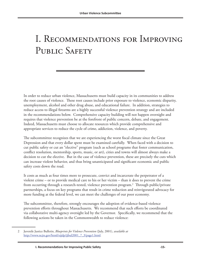### I. Recommendations for Improving PUBLIC SAFETY

In order to reduce urban violence, Massachusetts must build capacity in its communities to address the root causes of violence. These root causes include prior exposure to violence, economic disparity, unemployment, alcohol and other drug abuse, and educational failure. In addition, strategies to reduce access to illegal firearms are a highly successful violence prevention strategy and are included in the recommendations below. Comprehensive capacity building will not happen overnight and requires that violence prevention be at the forefront of public concern, debate, and engagement. Indeed, Massachusetts must choose to allocate resources which provide comprehensive and appropriate services to reduce the cycle of crime, addiction, violence, and poverty.

The subcommittee recognizes that we are experiencing the worst fiscal climate since the Great Depression and that every dollar spent must be examined carefully. When faced with a decision to cut public safety or cut an "elective" program (such as school programs that foster communication, conflict resolution, mentorship, sports, music, or art), cities and towns will almost always make a decision to cut the elective. But in the case of violence prevention, these are precisely the cuts which can increase violent behavior, and thus bring unanticipated and significant economic and public safety costs down the road.

It costs as much as four times more to prosecute, convict and incarcerate the perpetrator of a violent crime – or to provide medical care to his or her victim – than it does to prevent the crime from occurring through a research-tested, violence prevention program.2 Through public/private partnerships, a focus on key programs that result in crime reduction and reinvigorated advocacy for more funding at the federal level, we can meet the challenges of our poor economy.

The subcommittee, therefore, strongly encourages the adoption of evidence-based violence prevention efforts throughout Massachusetts. We recommend that such efforts be coordinated via collaborative multi-agency oversight led by the Governor. Specifically, we recommend that the following actions be taken in the Commonwealth to reduce violence:

<sup>2</sup> Juvenile Justice Bulletin, *Blueprints for Violence Prevention* (July, 2001), *available at*  [http://www.ncjrs.gov/html/ojjdp/jjbul2001\\_7\\_3/page1.html](http://www.ncjrs.gov/html/ojjdp/jjbul2001_7_3/page1.html).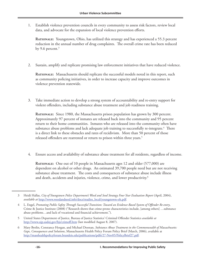1. Establish violence prevention councils in every community to assess risk factors, review local data, and advocate for the expansion of local violence prevention efforts.

**Rationale:** Youngstown, Ohio, has utilized this strategy and has experienced a 55.3 percent reduction in the annual number of drug complaints. The overall crime rate has been reduced by 9.6 percent. $3$ 

2. Sustain, amplify and replicate promising law enforcement initiatives that have reduced violence.

**Rationale:** Massachusetts should replicate the successful models noted in this report, such as community policing initiatives, in order to increase capacity and improve outcomes in violence prevention statewide.

3. Take immediate action to develop a strong system of accountability and re-entry support for violent offenders, including substance abuse treatment and job readiness training.

**Rationale:** Since 1980, the Massachusetts prison population has grown by 300 percent. Approximately 97 percent of inmates are released back into the community and 95 percent return to their home communities. Inmates who are released into the community often have substance abuse problems and lack adequate job training to successfully re-integrate. $^4$  There is a direct link to these obstacles and rates of recidivism. More than 50 percent of those released offenders are rearrested or return to prison within three years.<sup>5</sup>

4. Ensure access and availability of substance abuse treatment for all residents, regardless of income.

**Rationale:** One out of 10 people in Massachusetts ages 12 and older (577,000) are dependent on alcohol or other drugs. An estimated 39,700 people need but are not receiving substance abuse treatment. The costs and consequences of substance abuse include illness and death, accidents and injuries, violence, crime, and lower productivity.<sup>6</sup>

<sup>3</sup> Heidi Hallas, *City of Youngstown Police Department's Weed and Seed Strategy Four Year Evaluation Report* (April, 2004), *available at* [http://www.weedandseed.info/docs/studies\\_local/youngstown-oh.pdf](http://www.weedandseed.info/docs/studies_local/youngstown-oh.pdf).

<sup>4</sup> L. Engel, *Promoting Public Safety Through Successful Transition: Toward an Evidence-Based System of Offender Re-entry*, Crime & Justice Institute (2008) ("Research shows that crime-prone characteristics include, [among others] …substance abuse problems…and lack of vocational and financial achievement.").

<sup>5</sup> United States Department of Justice, Bureau of Justice Statistics' Criminal Offender Statistics *available at*  <http://www.ojp.usdoj.gov/bjs/crimoff.htm>(last modified August 8, 2007).

<sup>6</sup> Mary Brolin, Constance Horgan, and Michael Doonan, *Substance Abuse Treatment in the Commonwealth of Massachusetts: Gaps, Consequences and Solutions*, Massachusetts Health Policy Forum Policy Brief (March, 2006), available at <http://masshealthpolicyforum.brandeis.edu/publications/pdfs/27-Nov05/PolicyBrief27.pdf>.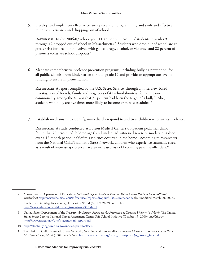5. Develop and implement effective truancy prevention programming and swift and effective responses to truancy and dropping out of school.

**RATIONALE:** In the 2006-07 school year, 11,436 or 3.8 percent of students in grades 9 through 12 dropped out of school in Massachusetts.7 Students who drop out of school are at greater risk for becoming involved with gangs, drugs, alcohol, or violence, and 82 percent of prisoners today are school dropouts.8

6. Mandate comprehensive, violence prevention programs, including bullying prevention, for all public schools, from kindergarten through grade 12 and provide an appropriate level of funding to ensure implementation.

**Rationale:** A report compiled by the U.S. Secret Service, through an interview-based investigation of friends, family and neighbors of 41 school shooters, found the one commonality among the 41 was that 71 percent had been the target of a bully. $9$  Also, students who bully are five times more likely to become criminals as adults.<sup>10</sup>

7. Establish mechanisms to identify, immediately respond to and treat children who witness violence.

**Rationale:** A study conducted at Boston Medical Center's outpatient pediatrics clinic found that 28 percent of children age 6 and under had witnessed severe or moderate violence over a 12-month period; half of this violence occurred in the home. According to researchers from the National Child Traumatic Stress Network, children who experience traumatic stress as a result of witnessing violence have an increased risk of becoming juvenile offenders.<sup>11</sup>

10 [http://stopbullyingnow.hrsa.gov/index.asp?area=effects.](http://stopbullyingnow.hrsa.gov/index.asp?area=effects)

<sup>7</sup> Massachusetts Department of Education, *Statistical Report: Dropout Rates in Massachusetts Public Schools 2006-07, available at* <http://www.doe.mass.edu/infoservices/reports/dropout/0607/summary.doc> (last modified March 20, 2008).

<sup>8</sup> Linda Starr, *Tackling Teen Truancy*, Education World (April 9, 2002), available at [http://www.educationworld.com/a\\_issues/issues300.shtml](http://www.educationworld.com/a_issues/issues300.shtml).

<sup>9</sup> United States Department of the Treasury, *An Interim Report on the Prevention of Targeted Violence in Schools*, The United States Secret Service National Threat Assessment Center Safe School Initiative (October 13, 2000), *available at* [http://www.ustreas.gov/usss/ntac/ntac\\_ssi\\_report.pdf](http://www.ustreas.gov/usss/ntac/ntac_ssi_report.pdf).

<sup>11</sup> The National Child Traumatic Stress Network, *Questions and Answers About Domestic Violence: An Interview with Betsy McAlister Groves, MSW* (2007), *available at* [http://www.nctsnet.org/nctsn\\_assets/pdfs/QA\\_Groves\\_final.pdf.](http://www.nctsnet.org/nctsn_assets/pdfs/QA_Groves_final.pdf)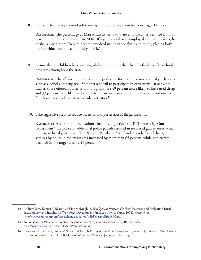8. Support the development of job training and job development for youth ages 14 to 22.

**Rationale:** The percentage of Massachusetts teens who are employed has declined from 53 percent in 1999 to 39 percent in 2004. If a young adult is unemployed and has no skills, he or she is much more likely to become involved in substance abuse and crime, placing both the individual and the community at risk.<sup>12</sup>

9. Ensure that all children have a caring adult or mentor in their lives by funding after-school programs throughout the state.

**RATIONALE:** The after-school hours are the peak time for juvenile crime and risky behaviors such as alcohol and drug use. Students who fail to participate in extracurricular activities, such as those offered in after-school programs, are 49 percent more likely to have used drugs and 37 percent more likely to become teen parents than those students who spend one to four hours per week in extracurricular activities.<sup>13</sup>

10. Take aggressive steps to reduce access to and possession of illegal firearms.

**Rationale:** According to the National Institute of Justice's (NIJ) "Kansas City Gun Experiment," the policy of additional police patrols resulted in increased gun seizures, which, in turn, reduced gun crime. The NIJ and Weed and Seed funded study found that gun seizures by police in the target area increased by more than 65 percent, while gun crimes declined in the target area by 49 percent.<sup>14</sup>

<sup>12</sup> Andrew Sum, Kamen Madjarov, and Joe McLaughlin, *Employment Prospects for Teens*, Research and Evaluation Brief: Facts, Figures and Insights for Workforce Development Practice & Policy (June, 2006), *available at* [http://www.commcorp.org/researchandevaluation/pdf/ResearchBrief3-05.pdf.](http://www.commcorp.org/researchandevaluation/pdf/ResearchBrief3-05.pdf)

<sup>13</sup> National Youth Violence Prevention Resource Center, *After School Programs* (2001), *available at* [http://www.safeyouth.org/scripts/facts/afterschool.asp.](http://www.safeyouth.org/scripts/facts/afterschool.asp)

<sup>14</sup> Lawrence W. Sherman, James W. Shaw, and Dennis P. Rogan, *The Kansas City Gun Experiment* (January, 1995), National Institute of Justice Research in Brief, *available at* <http://www.ncjrs.gov/pdffiles/kang.pdf>.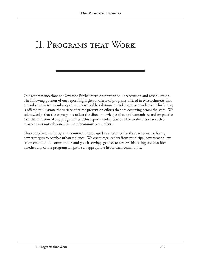### II. Programs that Work

Our recommendations to Governor Patrick focus on prevention, intervention and rehabilitation. The following portion of our report highlights a variety of programs offered in Massachusetts that our subcommittee members propose as workable solutions to tackling urban violence. This listing is offered to illustrate the variety of crime prevention efforts that are occurring across the state. We acknowledge that these programs reflect the direct knowledge of our subcommittee and emphasize that the omission of any program from this report is solely attributable to the fact that such a program was not addressed by the subcommittee members.

This compilation of programs is intended to be used as a resource for those who are exploring new strategies to combat urban violence. We encourage leaders from municipal government, law enforcement, faith communities and youth serving agencies to review this listing and consider whether any of the programs might be an appropriate fit for their community.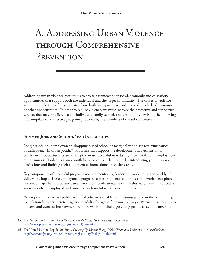# A. Addressing Urban Violence through Comprehensive PREVENTION

Addressing urban violence requires us to create a framework of social, economic and educational opportunities that support both the individual and the larger community. The causes of violence are complex, but are often originated from both an exposure to violence and in a lack of economic or other opportunities. In order to reduce violence, we must increase the protective and supportive services that may be offered at the individual, family, school, and community levels.<sup>15</sup> The following is a compilation of effective programs provided by the members of the subcommittee.

#### **Summer Jobs and School Year Internships**

Long periods of unemployment, dropping out of school or marginalization are recurring causes of delinquency in urban youth.<sup>16</sup> Programs that support the development and expansion of employment opportunities are among the most successful in reducing urban violence. Employment opportunities afforded to at-risk youth help to reduce urban crime by introducing youth to various professions and limiting their time spent at home alone or on the streets.

Key components of successful programs include mentoring, leadership workshops, and weekly life skills workshops. These employment programs expose students to a professional work atmosphere and encourage them to pursue careers in various professional fields. In this way, crime is reduced as at-risk youth are employed and provided with useful work tools and life skills.

When private sector and publicly-funded jobs are available for all young people in the community, the relationships between teenagers and adults change in fundamental ways. Parents, teachers, police officers, and even business owners are more willing to challenge young people to avoid dangerous

<sup>15</sup> The Prevention Institute, *What Factors Foster Resiliency About Violence?*, *available at* <http://www.preventioninstitute.org/schoolviol5.html#four>.

<sup>16</sup> The United Nations Population Fund, *Growing Up Urban: Young, Male, Urban and Violent* (2007), *available at* [http://www.unfpa.org/swp/2007/youth/english/story/freddy\\_youth.html.](http://www.unfpa.org/swp/2007/youth/english/story/freddy_youth.html)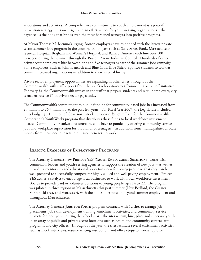associations and activities. A comprehensive commitment to youth employment is a powerful prevention strategy in its own right and an effective tool for youth-serving organizations. The paycheck is the hook that brings even the most hardened teenagers into positive programs.

At Mayor Thomas M. Menino's urging, Boston employers have responded with the largest private sector summer jobs program in the country. Employers such as State Street Bank, Massachusetts General Hospital, Brigham and Women's Hospital, and Bank of America each hire over 100 teenagers during the summer through the Boston Private Industry Council. Hundreds of other private sector employers hire between one and five teenagers as part of the summer jobs campaign. Some employers, such as John Hancock and Blue Cross Blue Shield, sponsor students to work at community-based organizations in addition to their internal hiring.

Private sector employment opportunities are expanding in other cities throughout the Commonwealth with staff support from the state's school-to-career "connecting activities" initiative. For every \$1 the Commonwealth invests in the staff that prepare students and recruit employers, city teenagers receive \$5 in private sector paychecks.

The Commonwealth's commitment to public funding for community-based jobs has increased from \$3 million to \$6.7 million over the past few years. For Fiscal Year 2009, the Legislature included in its budget \$8.1 million of Governor Patrick's proposed \$9.25 million for the Commonwealth Corporation's YouthWorks program that distributes these funds to local workforce investment boards. Community organizations across the state have responded by offering community service jobs and workplace supervision for thousands of teenagers. In addition, some municipalities allocate money from their local budgets to put area teenagers to work.

#### **Leading Examples of Employment Programs**

The Attorney General's new **Project YES (Youth Employment Solutions)** works with community leaders and youth-serving agencies to support the creation of new jobs – as well as providing mentorship and educational opportunities – for young people so that they can be well-prepared to successfully compete for highly skilled and well-paying employment. Project YES acts as a catalyst to encourage local businesses to work with local Workforce Investment Boards to provide paid or volunteer positions to young people ages 14 to 22. The program was piloted in three regions in Massachusetts this past summer (New Bedford, the Greater Springfield area, and Worcester), with the hopes of expansion beyond summer employment and throughout Massachusetts.

The Attorney General's **Jobs for Youth** program contracts with 12 sites to arrange job placements, job skills development training, enrichment activities, and community service projects for local youth during the school year. The sites recruit, hire, place and supervise youth in an array of public and private sector locations such as health and community centers, arts programs, and city offices. Throughout the year, the sites facilitate several enrichment activities such as mock interviews, résumé writing instruction, and office etiquette workshops, for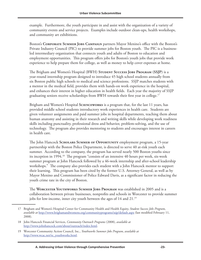example. Furthermore, the youth participate in and assist with the organization of a variety of community events and service projects. Examples include outdoor clean-ups, health workshops, and community art exhibitions.

Boston's **Corporate Summer Jobs Campaign** partners Mayor Menino's office with the Boston's Private Industry Council (PIC) to provide summer jobs for Boston youth. The PIC is a businessled intermediary organization that connects youth and adults of Boston to education and employment opportunities. This program offers jobs for Boston's youth jobs that provide work experience to help prepare them for college, as well as money to help cover expenses at home.

The Brigham and Women's Hospital (BWH) **Student Success Jobs Program (SSJP)** is a year-round internship program designed to introduce 45 high school students annually from six Boston public high schools to medical and science professions. SSJP matches students with a mentor in the medical field, provides them with hands-on work experience in the hospital, and enhances their interest in higher education in health fields. Each year the majority of SSJP graduating seniors receive scholarships from BWH towards their first year in college.<sup>17</sup>

Brigham and Women's Hospital **Scienceworks** is a program that, for the last 11 years, has provided middle school students introductory work experiences in health care. Students are given volunteer assignments and paid summer jobs in hospital departments, teaching them about human anatomy and assisting in their research and writing skills while developing work readiness skills including punctuality, professional dress and behavior, problem-solving, and the use of technology. The program also provides mentoring to students and encourages interest in careers in health care.

The John Hancock **Scholars Summer of Opportunity** employment program, a 15-year partnership with the Boston Police Department, is directed to serve 40 at-risk youth each summer. According to the company, the program has served nearly 500 Boston youths since its inception in 1994.<sup>18</sup> The program "consists of an intensive 40 hours per week, six-week summer program at John Hancock followed by a 46-week internship and after-school leadership workshops." The company also provides each student with a John Hancock mentor to support their learning. This program has been cited by the former U.S. Attorney General, as well as by Mayor Menino and Commissioner of Police Edward Davis, as a significant factor in reducing the youth crime rate in the city of Boston.

The **Worcester Youthworks Summer Jobs Program** was established in 2005 and is a collaboration between private businesses, nonprofits and schools in Worcester to provide summer jobs for low-income, inner city youth between the ages of 14 and 21.19

<sup>17</sup> Brigham and Women's Hospital Center for Community Health and Health Equity, *Student Success Jobs Program*, *available at* <http://www.brighamandwomens.org/communityprograms/ssjp/default.aspx> (last modified February 11, 2008).

<sup>18</sup> John Hancock Financial Services, *Community Outreach Programs* (2008), *available at* [http://www.johnhancock.com/about/outreach/index.html.](http://www.johnhancock.com/about/outreach/index.html)

<sup>19</sup> Worcester Community Action Council, Inc., *Youthworks Summer Jobs Program*, *available at* [http://www.wcac.net/te\\_youthworks.html.](http://www.wcac.net/te_youthworks.html)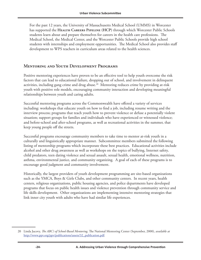For the past 12 years, the University of Massachusetts Medical School (UMMS) in Worcester has supported the **HEALTH CAREERS PIPELINE** (HCP) through which Worcester Public Schools students learn about and prepare themselves for careers in the health care professions. The Medical School, the Medical Center, and the Worcester Public Schools provide high school students with internships and employment opportunities. The Medical School also provides staff development to WPS teachers in curriculum areas related to the health sciences.

#### **Mentoring and Youth Development Programs**

Positive mentoring experiences have proven to be an effective tool to help youth overcome the risk factors that can lead to educational failure, dropping out of school, and involvement in delinquent activities, including gang crime and drug abuse.20 Mentoring reduces crime by providing at-risk youth with positive role models, encouraging community interaction and developing meaningful relationships between youth and caring adults.

Successful mentoring programs across the Commonwealth have offered a variety of services including: workshops that educate youth on how to find a job, including resume writing and the interview process; programs that teach youth how to prevent violence or defuse a potentially violent situation; support groups for families and individuals who have experienced or witnessed violence; and before-school and after-school programs, as well as recreational activities in the summer, that keep young people off the streets.

Successful programs encourage community members to take time to mentor at-risk youth in a culturally and linguistically appropriate manner. Subcommittee members submitted the following listing of mentorship programs which incorporate these best practices. Educational activities include alcohol and other drug awareness as well as workshops on the topics of bullying, Internet safety, child predators, teen dating violence and sexual assault, sexual health, emotional wellness, nutrition, asthma, environmental justice, and community organizing. A goal of each of these programs is to encourage good judgment and community involvement.

Historically, the largest providers of youth development programming are site-based organizations such as the YMCA, Boys & Girls Clubs, and other community centers. In recent years, health centers, religious organizations, public housing agencies, and police departments have developed programs that focus on public health issues and violence prevention through community service and life skills development. Other organizations are implementing intensive mentoring strategies that link inner city youth with adults who have had similar life experiences.

<sup>20</sup> Linda Jucovy, *The ABC's of School-Based Mentoring*, The National Mentoring Center (September, 2000), *available at* [http://www.ppv.org/ppv/publications/assets/32\\_publication.pdf.](http://www.ppv.org/ppv/publications/assets/32_publication.pdf)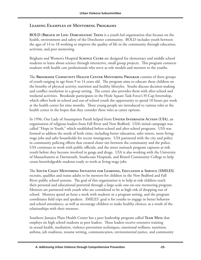#### **Leading Examples of Mentoring Programs**

**BOLD (Breath of Life: Dorchester) Teens** is a youth-led organization that focuses on the health, environment and safety of the Dorchester community. BOLD includes youth between the ages of 14 to 18 working to improve the quality of life in the community through education, activism, and peer mentoring.

Brigham and Women's Hospital **Science Clubs** are designed for elementary and middle school students to learn about science through interactive, small group projects. This program connects students with health care professionals who serve as role models and mentors to the youths.

The **Brookside Community Health Center Mentoring Program** consists of three groups of youth ranging in age from 9 to 14 years old. The program aims to educate these children on the benefits of physical activity, nutrition and healthy lifestyles. Youths discuss decision-making and conflict resolution in a group setting. The center also provides them with after-school and weekend activities. Brookside participates in the Hyde Square Task Force's H-Cap Internship, which offers both in-school and out-of-school youth the opportunity to spend 10 hours per week at the health center for nine months. These young people are introduced to various roles at the health center in the hopes that they consider these roles as career options.

In 1996, Our Lady of Assumption Parish helped form **UNITED INTERFAITH ACTION** (UIA), an organization of religious leaders from Fall River and New Bedford. UIA's initial campaign was called "Hope in Youth," which established before-school and after-school programs. UIA was formed to address the needs of both cities, including better education, safer streets, more livingwage jobs and safer households for recent immigrants. UIA partnered with the city and police in community policing efforts that created closer ties between the community and the police. UIA continues to work with public officials, and the street outreach program captures at-risk youth before they become involved in gangs and drugs. UIA is also working with the University of Massachusetts at Dartmouth, Southcoast Hospitals, and Bristol Community College to help create knowledgeable students ready to work at living-wage jobs.

The **South Coast Mentoring Initiative for Learning, Education & Service (SMILES)** recruits, qualifies and trains adults to be mentors for children in the New Bedford and Fall River public school systems. The goal of this organization is to help at-risk children reach their personal and educational potential through a large-scale one-on-one mentoring program. Mentors are partnered with youth who are considered to be at high risk of dropping out of school. Mentors spend an hour a week with students in a program setting, and the program coordinates field trips and speakers. SMILES' goal is for youths to engage in better behavior and school attendance, as well as encourage children to make healthy choices, as a result of the relationships with their mentors.

Southern Jamaica Plain Health Center has a peer leadership program called **Team Mita** that employs six high school students as peer leaders. These leaders receive extensive training in sexual health, mediation, violence prevention techniques, emotional wellness, nutrition, asthma, job readiness, resume writing, communication, environmental justice, and community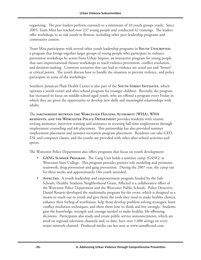organizing. The peer leaders perform outreach to a minimum of 10 youth groups yearly. Since 2005, Team Mita has reached over 237 young people and conducted 42 trainings. The leaders offer workshops to at-risk youth in Boston, including other peer leadership programs and community centers.

Team Mita participates with several other youth leadership programs in YouTH UNSCRIPTED, a program that brings together larger groups of young people who participate in violence prevention workshops by actors from Urban Improv, an interactive program for young people that uses improvisational theater workshops to teach violence prevention, conflict resolution, and decision-making. Common scenarios that can lead to violence are acted out and "frozen" at critical points. The youth discuss how to handle the situation to prevent violence, and police participate in some of the workshops.

Southern Jamaican Plain Health Center is also part of the **South Street Initiative**, which operates a youth center and after-school program for younger children. Recently, the program has increased its focus on middle-school-aged youth, who are offered a program every Friday in which they are given the opportunity to develop new skills and meaningful relationships with adults.

The **partnership between the Worcester Housing Authority (WHA), WHA residents, and the Worcester Police Department** provides residents with resume writing assistance, interview training and assistance in securing full-time employment through employment counseling and job placement. This partnership has also provided summer employment placement and summer recreation program placement. Residents can take GED, ESL and computer classes, and the youths are provided with other after-school activities and sports.

The Worcester Police Department also offers programs that focus on youth development:

- **GANG Summer Program.** The Gang Unit holds a summer camp (GANG) at Worcester State College. This program provides positive role modeling and promotes teamwork, drug prevention and gang prevention. During the 2007 year, the camp ran for three weeks and approximately 184 youth attended.
- **AFFECTED.** A youth leadership and empowerment program funded by the Safe Schools, Healthy Students Neighborhood Grant, Affected is a collaborative effort of the Worcester Police Department and the Worcester Public Schools. Police Detective Daniel Rosario developed the multimedia program for the event, which is designed as a means to reach out to youth and give them the tools they need to make healthy choices, enhance their feeling of worthiness, help them develop problem solving strategies, learn conflict resolution techniques, and show them how to think and live strongly. Students gain the knowledge, strength and courage needed to make healthy, life-affirming decisions. Participants also study and create public service announcements, which are aired on regional television channels and, to date, have over 1,000 airings on every major network channel. Produced media can bee seen at www.iamaffected.com.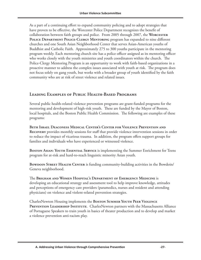As a part of a continuing effort to expand community policing and to adopt strategies that have proven to be effective, the Worcester Police Department recognizes the benefit of collaboration between faith groups and police. From 2005 through 2007, the **Worcester Police Department Police-Clergy Mentoring** program has expanded to nine different churches and one South Asian Neighborhood Center that serves Asian-American youths of Buddhist and Catholic Faith. Approximately 275 to 300 youths participate in the mentoring program weekly. Each mentoring church site has a police officer assigned as its mentoring officer who works closely with the youth ministries and youth coordinators within the church. The Police-Clergy Mentoring Program is an opportunity to work with faith-based organizations in a proactive manner to address the complex issues associated with youth at risk. The program does not focus solely on gang youth, but works with a broader group of youth identified by the faith community who are at risk of street violence and related issues.

#### **Leading Examples of Public Health-Based Programs**

Several public health-related violence prevention programs are grant-funded programs for the mentoring and development of high-risk youth. These are funded by the Mayor of Boston, local hospitals, and the Boston Public Health Commission. The following are examples of these programs:

**Beth Israel Deaconess Medical Center's Center for Violence Prevention and Recovery** provides monthly sessions for staff that provide violence intervention sessions in order to reduce the impact of vicarious trauma. In addition, the program offers support groups for families and individuals who have experienced or witnessed violence.

**Boston Asian: Youth Essential Service** is implementing the Summer Enrichment for Teens program for at-risk and hard-to-reach linguistic minority Asian youth.

**BOWDOIN STREET HEALTH CENTER** is funding community-building activities in the Bowdoin/ Geneva neighborhood.

The **Brigham and Women Hospital's Department of Emergency Medicine** is developing an educational strategy and assessment tool to help improve knowledge, attitudes and perceptions of emergency care providers (paramedics, nurses and resident and attending physicians) on violence and violent-related prevention strategies.

CharlesNewton Housing implements the **Boston Summer Youth Peer Violence**  PREVENTION LEADERSHIP INSTITUTE. CharlesNewton partners with the Massachusetts Alliance of Portuguese Speakers to train youth in basics of theater production and to develop and market a violence prevention anti-racism play.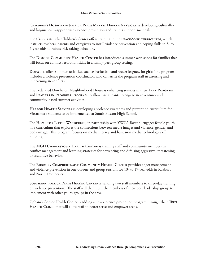**Children's Hospital – Jamaica Plain Mental Health Network** is developing culturallyand linguistically-appropriate violence prevention and trauma support materials.

The Crispus Attucks Children's Center offers training in the **PeaceZone curriculum**, which instructs teachers, parents and caregivers to instill violence prevention and coping skills in 3- to 5-year-olds to reduce risk-taking behaviors.

The **Dimock Community Health Center** has introduced summer workshops for families that will focus on conflict resolution skills in a family-peer group setting.

**Dotwell** offers summer activities, such as basketball and soccer leagues, for girls. The program includes a violence prevention coordinator, who can assist the program staff in assessing and intervening in conflicts.

The Federated Dorchester Neighborhood House is enhancing services in their **Teen Program** and **Leaders in Progress Program** to allow participants to engage in adventure- and community-based summer activities.

**HARBOR HEALTH SERVICES** is developing a violence awareness and prevention curriculum for Vietnamese students to be implemented at South Boston High School.

The **Home for Little Wanderers**, in partnership with YWCA Boston, engages female youth in a curriculum that explores the connections between media images and violence, gender, and body image. This program focuses on media literacy and hands-on media technology skill building.

The MGH CHARLESTOWN HEALTH CENTER is training staff and community members in conflict management and learning strategies for preventing and diffusing aggressive, threatening or assaultive behavior.

The **Roxbury Comprehensive Community Health Center** provides anger management and violence prevention in one-on-one and group sessions for 13- to 17-year-olds in Roxbury and North Dorchester.

**Southern Jamaica Plain Health Center** is sending two staff members to three-day training on violence prevention. The staff will then train the members of their peer leadership group to implement with other youth groups in the area.

Upham's Corner Health Center is adding a new violence prevention program through their **Teen**  HEALTH CLINIC that will allow staff to better serve and empower teens.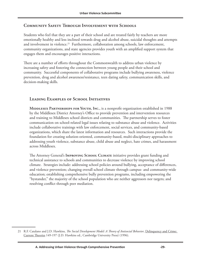#### **Community Safety Through Involvement with Schools**

Students who feel that they are a part of their school and are treated fairly by teachers are more emotionally healthy and less inclined towards drug and alcohol abuse, suicidal thoughts and attempts and involvement in violence.<sup>21</sup> Furthermore, collaboration among schools, law enforcement, community organizations, and state agencies provides youth with an amplified support system that engages them and encourages positive interactions.

There are a number of efforts throughout the Commonwealth to address urban violence by increasing safety and fostering the connection between young people and their school and community. Successful components of collaborative programs include bullying awareness, violence prevention, drug and alcohol awareness/resistance, teen dating safety, communication skills, and decision-making skills.

#### **Leading Examples of School Initiatives**

**MIDDLESEX PARTNERSHIPS FOR YOUTH, INC.**, is a nonprofit organization established in 1988 by the Middlesex District Attorney's Office to provide prevention and intervention resources and training to Middlesex school districts and communities. The partnership serves to foster communication on school-related legal issues relating to substance abuse and violence. Activities include collaborative trainings with law enforcement, social services, and community-based organizations, which share the latest information and resources. Such interactions provide the foundation for creating solution-oriented, community-based, multi-disciplinary approaches to addressing youth violence, substance abuse, child abuse and neglect, hate crimes, and harassment across Middlesex.

The Attorney General's **Improving School Climate** initiative provides grant funding and technical assistance to schools and communities to decrease violence by improving school climate. Strategies include: addressing school policies around bullying, acceptance of differences, and violence prevention; changing overall school climate through campus- and community-wide education; establishing comprehensive bully prevention programs, including empowering the "bystander," the majority of the school population who are neither aggressors nor targets; and resolving conflict through peer mediation.

<sup>21</sup> R.F. Catalano and J.D. Hawkins, *The Social Development Model: A Theory of Antisocial Behavior*, Delinquency and Crime: Current Theories 149-197 (J.D. Hawkins ed., Cambridge University Press) (1996).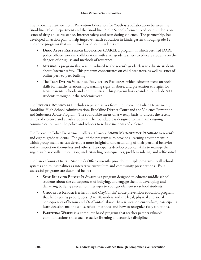The Brookline Partnership in Prevention Education for Youth is a collaboration between the Brookline Police Department and the Brookline Public Schools formed to educate students on issues of drug abuse resistance, Internet safety, and teen dating violence. The partnership, has developed an action plan to help improve health education in kindergarten through grade 12. The three programs that are utilized to educate students are:

- **Drug Abuse Resistance Education (DARE)**, a program in which certified DARE police officers work in collaboration with sixth grade teachers to educate students on the dangers of drug use and methods of resistance.
- **Missing**, a program that was introduced to the seventh grade class to educate students about Internet safety. This program concentrates on child predators, as well as issues of online peer-to-peer bullying.
- The **Teen Dating Violence Prevention Program**, which educates teens on social skills for healthy relationships, warning signs of abuse, and prevention strategies for teens, parents, schools and communities. This program has expanded to include 800 students throughout the academic year.

The **Juvenile Roundtable** includes representatives from the Brookline Police Department, Brookline High School Administration, Brookline District Court and the Violence Prevention and Substance Abuse Program. The roundtable meets on a weekly basis to discuss the recent trends of violence and at risk students. The roundtable is designed to maintain ongoing communication with the police and schools to reduce incidents of violence.

The Brookline Police Department offers a 10-week **Anger Management Program** to seventh and eighth grade students. The goal of the program is to provide a learning environment in which group members can develop a more insightful understanding of their personal behavior and its impact on themselves and others. Participants develop practical skills to manage their anger, such as conflict resolution, understanding consequences, problem solving, and self-control.

The Essex County District Attorney's Office currently provides multiple programs to all school systems and municipalities as interactive curriculum and community presentations. Four successful programs are described below:

- **STOP BULLYING BEFORE IT STARTS** is a program designed to educate middle school students about the consequences of bullying, and engage them in developing and delivering bullying prevention messages to younger elementary school students.
- **CHOOSE TO REFUSE** is a heroin and OxyContin<sup>®</sup> abuse prevention education program that helps young people, ages 13 to 18, understand the legal, physical and social consequences of heroin and OxyContin® abuse. In a six-session curriculum, participants learn decision-making skills, refusal methods, and how to recognize risky situations.
- **PARENTING WISELY** is a computer-based program that teaches parents valuable communications skills such as active listening and assertive discipline.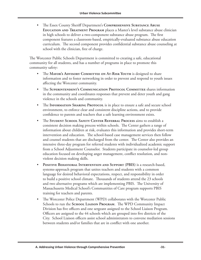• The Essex County Sheriff Department's **Comprehensive Substance Abuse Education and Treatment Program** places a Master's level substance abuse clinician in high schools to deliver a two-component substance abuse program. The first component features a classroom-based, empirically-evaluated substance abuse education curriculum. The second component provides confidential substance abuse counseling at school with the clinician, free of charge.

The Worcester Public Schools Department is committed to creating a safe, educational community for all students, and has a number of programs in place to promote this community safety:

- The Mayor's ADVISORY COMMITTEE ON AT-RISK YOUTH is designed to share information and to foster networking in order to prevent and respond to youth issues affecting the Worcester community.
- The **Superintendent's Communication Protocol Committee** shares information in the community and coordinates responses that prevent and deter youth and gang violence in the schools and community.
- The **INFORMATION SHARING PROTOCOL** is in place to ensure a safe and secure school environment, to enforce clear and consistent discipline actions, and to provide confidence to parents and teachers that a safe learning environment exists.
- The **Student School Safety Center Referral Process** aims to establish a consistent decision making process within schools. The Center gathers a range of information about children at risk, evaluates this information and provides short-term intervention and education. The school-based case management services then follow and counsel students that are discharged from the center. The Center also provides an intensive three-day program for referred students with individualized academic support from a School Adjustment Counselor. Students participate in counselor-led group education focused on developing anger management, conflict resolution, and nonviolent decision making skills.
- **Positive Behavioral Intervention and Support (PBIS)** is a research-based, systems-approach program that unites teachers and students with a common language for desired behavioral expectations, respect, and responsibility in order to build a positive school climate. Thousands of students attend the 23 schools and two alternative programs which are implementing PBIS. The University of Massachusetts Medical School's Communities of Care program supports PBIS training for teachers and parents.
- The Worcester Police Department (WPD) collaborates with the Worcester Public Schools to run the **School Liaison Program**. The WPD Community Impact Division has five officers and one sergeant assigned to the School Liaison Program. Officers are assigned to the 44 schools which are grouped into five districts of the City. School Liaison officers assist school administrators to convene mediation sessions between students and/or families that are in conflict with one another.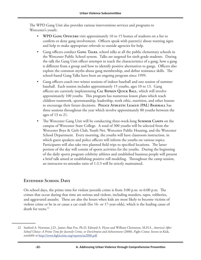The WPD Gang Unit also provides various interventions services and programs to Worcester's youth:

- **WPD Gang Officers** visit approximately 10 to 15 homes of students on a list to confirm or deny gang involvement. Officers speak with parent(s) about warning signs and help to make appropriate referrals to outside agencies for help.
- Gang officers conduct **Gang Talks**, school talks at all the public elementary schools in the Worcester Public School system. Talks are targeted for sixth grade students. During the talk the Gang Unit officer attempts to teach the characteristics of a gang, how a gang is different from a group and how to identify positive alternatives to gangs. Officers also explore the common myths about gang membership, and define resistance skills. The school-based Gang Talks have been an ongoing program since 1999.
- Gang officers coach two winter sessions of indoor baseball and one session of summer baseball. Each session includes approximately 15 youths, ages 10 to 13. Gang officers are currently implementing **Cal Ripken Quick Ball**, which will involve approximately 100 youths. This program has numerous lesson plans which teach children teamwork, sportsmanship, leadership, work ethic, nutrition, and other lessons to encourage their future decisions. **Police Athletic League (PAL) Baseball** has three sessions throughout the year which involve approximately 80 youths between the ages of 13 to 21.
- The Worcester Gang Unit will be conducting three-week-long **Summer Camps** on the campus of Worcester State College. A total of 300 youths will be selected from the Worcester Boys & Girls Club, Youth Net, Worcester Public Housing, and the Worcester School Department. Every morning, the youths will have classroom instruction, in which guest speakers and police officers will inform the youths on various topics. Participants will also take two planned field trips to specified locations. The latter portion of the day will consist of sports activities for the youths. During the beginning of the daily sports program celebrity athletes and established business people will present a brief talk aimed at establishing positive roll modeling. Throughout the camp session, an instructor-to-attendee ratio of 1:3.3 will be strictly maintained.

#### **Extended School Days**

On school days, the prime time for violent juvenile crime is from 3:00 p.m. to 6:00 p.m. The crimes that occur during that time are serious and violent, including murders, rapes, robberies, and aggravated assaults. These are also the hours when kids are most likely to become victims of violent crime or be in or cause a car crash (for 16- or 17-year-olds), which is the leading cause of death for teens.<sup>22</sup>

<sup>22</sup> Sanford A. Newman, J.D., James Alan Fox, Ph.D, Edward A. Flynn and William Christeson, M.H.S., *America's After School Choice: A Prime Time for Juvenile Crime, or Enrichment and Achievement* (2000), Fight Crime: Invest in Kids, *available at* <http://www.fightcrime.org/reports/as2000.pdf>.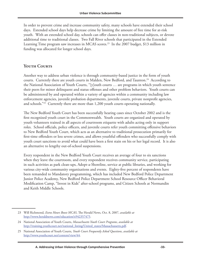In order to prevent crime and increase community safety, many schools have extended their school days. Extended school days help decrease crime by limiting the amount of free time for at-risk youth. With an extended school day, schools can offer classes in non-traditional subjects, or devote additional time to traditional classes. Two Fall River schools that participated in the Extended Learning Time program saw increases in MCAS scores.<sup>23</sup> In the 2007 budget, \$13 million in funding was allocated for longer school days.

#### YOUTH COURTS

Another way to address urban violence is through community-based justice in the form of youth courts. Currently there are youth courts in Malden, New Bedford, and Taunton.<sup>24</sup> According to the National Association of Youth Courts, "[y]outh courts … are programs in which youth sentence their peers for minor delinquent and status offenses and other problem behaviors. Youth courts can be administered by and operated within a variety of agencies within a community including law enforcement agencies, juvenile probation departments, juvenile courts, private nonprofit agencies, and schools."25 Currently there are more than 1,200 youth courts operating nationally.

The New Bedford Youth Court has been successfully hearing cases since October 2002 and is the first recognized youth court in the Commonwealth. Youth courts are organized and operated by youth volunteers trained in all aspects of courtroom etiquette with adults acting only in support roles. School officials, police officers, and juvenile courts refer youth committing offensive behaviors to New Bedford Youth Court, which acts as an alternative to traditional prosecution primarily for first-time offenders or less severe crimes, and allows youthful offenders who successfully comply with youth court sanctions to avoid what could have been a first stain on his or her legal record. It is also an alternative to lengthy out-of-school suspensions.

Every respondent in the New Bedford Youth Court receives an average of four to six sanctions when they leave the courtroom, and every respondent receives community service, participating in such activities as park clean-ups, Adopt-a-Shoreline, service at public libraries, and working for various city-wide community organizations and events. Eighty-five percent of respondents have been remanded to Mandatory programming, which has included New Bedford Police Department Junior Police Academy, New Bedford Police Department School Resource Officer Behavioral Modification Camp, "Invest in Kids" after-school programs, and Citizen Schools at Normandin and Keith Middle Schools.

<sup>23</sup> Will Richmond, *Extra Hours Boost MCAS*, The Herald News, Oct. 8, 2007, *available at* <http://www.heraldnews.com/education/x942357475>.

<sup>24</sup> National Association of Youth Courts, *Massachusetts Youth Court Programs*, *available at* [http://training.youthcourt.net/national\\_listing/United\\_states/Massachussetts.pdf.](http://training.youthcourt.net/national_listing/United_states/Massachussetts.pdf)

<sup>25</sup> National Association of Youth Courts, *Youth Court Frequently Asked Questions*, *available at* <http://www.youthcourt.net/content/view/44>.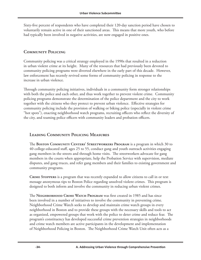Sixty-five percent of respondents who have completed their 120-day sanction period have chosen to voluntarily remain active in one of their sanctioned areas. This means that more youth, who before had typically been involved in negative activities, are now engaged in positive ones.

#### **Community Policing**

Community policing was a critical strategy employed in the 1990s that resulted in a reduction in urban violent crime at its height. Many of the resources that had previously been devoted to community policing programs were diverted elsewhere in the early part of this decade. However, law enforcement has recently revived some forms of community policing in response to the increase in urban violence.

Through community policing initiatives, individuals in a community form stronger relationships with both the police and each other, and thus work together to prevent violent crime. Community policing programs demonstrate the determination of the police department and the city to work together with the citizens who they protect to prevent urban violence. Effective strategies for community policing include the provision of walking or biking police (especially in violent crime "hot spots"), enacting neighborhood watch programs, recruiting officers who reflect the diversity of the city, and teaming police officers with community leaders and probation officers.

#### **Leading Community Policing Measures**

The **Boston Community Centers' Streetworkers Program** is a program in which 30 to 40 college-educated staff, ages 25 to 55, conduct gang and youth outreach activities engaging gang members in the streets and through home visits. The streetworkers advocate for gang members in the courts when appropriate, help the Probation Service with supervision, mediate disputes, and gang truces, and refer gang members and their families to existing government and community programs.

**Crime Stoppers** is a program that was recently expanded to allow citizens to call in or text message anonymous tips to Boston Police regarding unsolved violent crimes. This program is designed to both inform and involve the community in reducing urban violent crimes.

The **Neighborhood Crime Watch Program** was first created in 1985 and has since been involved in a number of initiatives to involve the community in preventing crime. Neighborhood Crime Watch seeks to develop and maintain crime watch groups in every neighborhood in Boston and to provide these groups with the necessary skills and tools to act as organized, empowered groups that work with the police to deter crime and reduce fear. The program's constituency has developed successful crime prevention strategies in neighborhoods and crime watch members are active participants in the development and implementation of Neighborhood Policing in Boston. The Neighborhood Crime Watch Unit often acts as a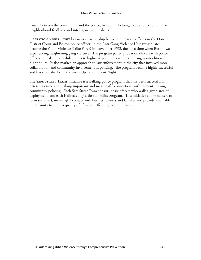liaison between the community and the police, frequently helping to develop a conduit for neighborhood feedback and intelligence to the district.

**OPERATION NIGHT LIGHT** began as a partnership between probation officers in the Dorchester District Court and Boston police officers in the Anti-Gang Violence Unit (which later became the Youth Violence Strike Force) in November 1992, during a time when Boston was experiencing heightening gang violence. The program paired probation officers with police officers to make unscheduled visits to high-risk youth probationers during nontraditional night hours. It also marked an approach to law enforcement in the city that involved more collaboration and community involvement in policing. The program became highly successful and has since also been known as Operation Silent Night.

The **Safe Street Teams** initiative is a walking police program that has been successful in deterring crime and making important and meaningful connections with residents through community policing. Each Safe Street Team consists of six officers who walk a given area of deployment, and each is directed by a Boston Police Sergeant. This initiative allows officers to form sustained, meaningful contact with business owners and families and provide a valuable opportunity to address quality of life issues effecting local residents.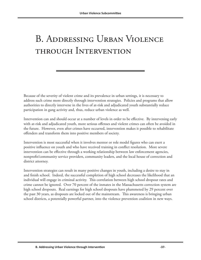## B. Addressing Urban Violence through Intervention

Because of the severity of violent crime and its prevalence in urban settings, it is necessary to address such crime more directly through intervention strategies. Policies and programs that allow authorities to directly intervene in the lives of at-risk and adjudicated youth substantially reduce participation in gang activity and, thus, reduce urban violence as well.

Intervention can and should occur at a number of levels in order to be effective. By intervening early with at-risk and adjudicated youth, more serious offenses and violent crimes can often be avoided in the future. However, even after crimes have occurred, intervention makes it possible to rehabilitate offenders and transform them into positive members of society.

Intervention is most successful when it involves mentor or role model figures who can exert a positive influence on youth and who have received training in conflict resolution. More severe intervention can be effective through a working relationship between law enforcement agencies, nonprofit/community service providers, community leaders, and the local house of correction and district attorney.

Intervention strategies can result in many positive changes in youth, including a desire to stay in and finish school. Indeed, the successful completion of high school decreases the likelihood that an individual will engage in criminal activity. This correlation between high school dropout rates and crime cannot be ignored. Over 70 percent of the inmates in the Massachusetts correction system are high school dropouts. Real earnings for high school dropouts have plummeted by 29 percent over the past 30 years, as dropouts are locked out of the mainstream. This awareness is bringing urban school districts, a potentially powerful partner, into the violence prevention coalition in new ways.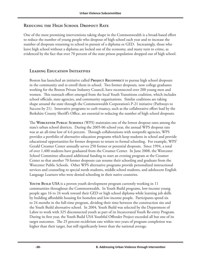#### **Reducing the High School Dropout Rate**

One of the most promising interventions taking shape in the Commonwealth is a broad-based effort to reduce the number of young people who dropout of high school each year and to increase the number of dropouts returning to school in pursuit of a diploma or GED. Increasingly, those who leave high school without a diploma are locked out of the economy, and many turn to crime, as evidenced by the fact that over 70 percent of the state prison population dropped out of high school.

#### **Leading Education Initiatives**

Boston has launched an initiative called **Project Reconnect** to pursue high school dropouts in the community and re-enroll them in school. Two former dropouts, now college graduates working for the Boston Private Industry Council, have reconnected over 200 young men and women. This outreach effort emerged from the local Youth Transitions coalition, which includes school officials, state agencies, and community organizations. Similar coalitions are taking shape around the state through the Commonwealth Corporation's P-21 initiative (Pathways to Success by 21). Innovative programs to curb truancy, such as the collaborative effort lead by the Berkshire County Sheriff's Office, are essential to reducing the number of high school dropouts.

The **Worcester Public Schools** (WPS) maintains one of the lowest dropout rates among the state's urban school districts. During the 2005-06 school year, the annual WPS dropout rate was at an all-time low of 4.6 percent. Through collaborations with nonprofit agencies, WPS provides a portfolio of alternative education programs which keep students in school and provide educational opportunities for former dropouts to return to formal schooling. For example, WPS' Gerald Creamer Center annually serves 250 former or potential dropouts. Since 1994, a total of over 1,400 students have graduated from the Creamer Center. In June 2008, the Worcester School Committee allocated additional funding to start an evening program at the Creamer Center so that another 70 former dropouts can resume their schooling and graduate from the Worcester Public Schools. Other WPS alternative programs provide personalized instructional services and counseling to special needs students, middle school students, and adolescent English Language Learners who were denied schooling in their native countries.

**Youth Build USA** is a proven youth development program currently working in 11 communities throughout the Commonwealth. In Youth Build programs, low-income young people ages 16 to 24 work toward their GED or high school diploma while learning job skills by building affordable housing for homeless and low-income people. Participants spend six to 24 months in the full-time program, dividing their time between the construction site and the Youth Build alternative school. In 2004, Youth Build was selected by the Department of Labor to work with 325 disconnected youth as part of its Incarcerated Youth Re-entry Program. During its first year, the Youth Build USA Youthful Offender Project exceeded all but one of its target outcomes. The 25 percent recidivism rate within two years of program completion was higher than their target, but still significantly lower than the national average.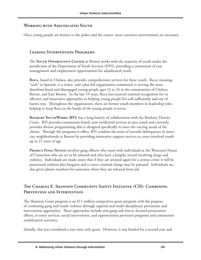#### **Working with Adjudicated Youth**

Once young people are known to the police and the courts, more extensive interventions are necessary.

#### **Leading Intervention Programs**

The **Youth Opportunity Center** in Boston works with the majority of youth under the jurisdiction of the Department of Youth Services (DYS), providing a continuum of case management and employment opportunities for adjudicated youth.

**Roca**, based in Chelsea, also provides comprehensive services for these youth. Roca, meaning "rock" in Spanish, is a vision- and value-led organization committed to serving the most disenfranchised and disengaged young people ages 14 to 24 in the communities of Chelsea, Revere, and East Boston. In the last 19 years, Roca has received national recognition for its effective and innovative approaches to helping young people live self-sufficiently and out of harm's way. Throughout the organization, there are former youth members in leadership roles helping to keep Roca in the hands of the young people it serves.

**ROXBURY YOUTHWORKS (RYI)** has a long history of collaboration with the Roxbury District Court. RYI provides community-based, non-residential services to area youth and currently provides diverse programming that is designed specifically to meet the varying needs of the clients. Through the programs it offers, RYI combats the roots of juvenile delinquency in innercity neighborhoods in Boston by providing innovative support services to court-involved youth up to 21 years of age.

**PROJECT FINAL NOTICE** involves gang officers who meet with individuals at the Worcester House of Correction who are set to be released and who have a lengthy record involving drugs and violence. Individuals are made aware that if they are arrested again for a serious crime it will be prosecuted without plea bargains and a career criminal charge may be pursued. Individuals are also given phone numbers for assistance when they are released from jail.

#### **The Charles E. Shannon Community Safety Initiative (CSI): Combining Prevention and Intervention**

The Shannon Grant program is an \$11 million competitive grant program with the purpose of combating gang and youth violence through regional and multi-disciplinary prevention and intervention approaches. These approaches include anti-gang task forces, focused prosecution efforts, re-entry services, social intervention, and opportunities provision programs and community mobilization activities.

Initially, this was considered a one-time only grant. However, it was funded for a second year and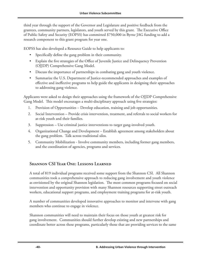third year through the support of the Governor and Legislature and positive feedback from the grantees, community partners, legislators, and youth served by this grant. The Executive Office of Public Safety and Security (EOPSS) has committed \$750,000 in Byrne JAG funding to add a research component to this grant program for year one.

EOPSS has also developed a Resource Guide to help applicants to:

- Specifically define the gang problem in their community.
- Explain the five strategies of the Office of Juvenile Justice and Delinquency Prevention (OJJDP) Comprehensive Gang Model.
- Discuss the importance of partnerships in combating gang and youth violence.
- Summarize the U.S. Department of Justice-recommended approaches and examples of effective and ineffective programs to help guide the applicants in designing their approaches to addressing gang violence.

Applicants were asked to design their approaches using the framework of the OJJDP Comprehensive Gang Model. This model encourages a multi-disciplinary approach using five strategies:

- 1. Provision of Opportunities Develop education, training and job opportunities.
- 2. Social Intervention Provide crisis intervention, treatment, and referrals to social workers for at-risk youth and their families.
- 3. Suppression Use criminal justice interventions to target gang-involved youth.
- 4. Organizational Change and Development Establish agreement among stakeholders about the gang problem. Talk across traditional silos.
- 5. Community Mobilization Involve community members, including former gang members, and the coordination of agencies, programs and services.

#### **Shannon CSI Year One: Lessons Learned**

A total of 819 individual programs received some support from the Shannon CSI. All Shannon communities took a comprehensive approach to reducing gang involvement and youth violence as envisioned by the original Shannon legislation. The most common programs focused on social intervention and opportunity provision with many Shannon resources supporting street outreach workers, educational support programs, and employment training programs for at-risk youth.

A number of communities developed innovative approaches to monitor and intervene with gang members who continue to engage in violence.

Shannon communities will need to maintain their focus on those youth at greatest risk for gang involvement. Communities should further develop existing and new partnerships and coordinate better across these programs, particularly those that are providing services to the same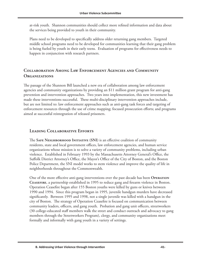at-risk youth. Shannon communities should collect more refined information and data about the services being provided to youth in their community.

Plans need to be developed to specifically address older returning gang members. Targeted middle school programs need to be developed for communities learning that their gang problem is being fueled by youth in their early teens. Evaluation of programs for effectiveness needs to happen in conjunction with research partners.

#### **Collaboration Among Law Enforcement Agencies and Community Organizations**

The passage of the Shannon Bill launched a new era of collaboration among law enforcement agencies and community organizations by providing an \$11 million grant program for anti-gang prevention and intervention approaches. Two years into implementation, this new investment has made these interventions successful. These multi-disciplinary intervention approaches include, but are not limited to: law enforcement approaches such as anti-gang task forces and targeting of enforcement resources through the use of crime mapping; focused prosecution efforts; and programs aimed at successful reintegration of released prisoners.

#### **Leading Collaborative Efforts**

The **Safe Neighborhood Initiative (SNI)** is an effective coalition of community residents, state and local government offices, law enforcement agencies, and human service organizations whose mission is to solve a variety of community problems, including urban violence. Established in February 1993 by the Massachusetts Attorney General's Office, the Suffolk District Attorney's Office, the Mayor's Office of the City of Boston, and the Boston Police Department, the SNI model works to stem violence and improve the quality of life in neighborhoods throughout the Commonwealth.

One of the more effective anti-gang interventions over the past decade has been **Operation Ceasefire**, a partnership established in 1995 to reduce gang and firearm violence in Boston. Operation Ceasefire began after 155 Boston youths were killed by guns or knives between 1990 and 1994. Since this program began in 1995, juvenile handgun murders have decreased significantly. Between 1995 and 1998, not a single juvenile was killed with a handgun in the city of Boston. The strategy of Operation Ceasefire is focused on communication between community leaders, officers, and gang youth. Probation and gang unit officers, streetworkers (30 college-educated staff members walk the street and conduct outreach and advocacy to gang members through the Streetworkers Program), clergy, and community organizations meet formally and informally with gang youth in a variety of settings.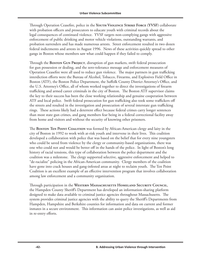Through Operation Ceasefire, police in the **Youth Violence Strike Force (YVSF)** collaborate with probation officers and prosecutors to educate youth with criminal records about the legal consequences of continued violence. YVSF targets non-complying gangs with aggressive enforcement of public drinking and motor vehicle violations, outstanding warrants, and probation surrenders and has made numerous arrests. Street enforcement resulted in two dozen federal indictments and arrests in August 1996. News of these activities quickly spread to other gangs in Boston whose members saw what could happen if they failed to comply.

Through the **Boston Gun Project**, disruption of gun markets, swift federal prosecution for gun possession or dealing, and the zero-tolerance message and enforcement measures of Operation Ceasefire were all used to reduce gun violence. The major partners in gun trafficking interdiction efforts were the Bureau of Alcohol, Tobacco, Firearms, and Explosives Field Office in Boston (ATF), the Boston Police Department, the Suffolk County District Attorney's Office, and the U.S. Attorney's Office, all of whom worked together to direct the investigations of firearm trafficking and armed career criminals in the city of Boston. The Boston ATF supervisor claims the key to their success has been the close working relationship and genuine cooperation between ATF and local police. Swift federal prosecution for gun trafficking also took some traffickers off the streets and resulted in the investigation and prosecution of several interstate gun trafficking rings. These actions likely had a deterrent effect because federal crimes carry longer sentences than most state gun crimes, and gang members fear being in a federal correctional facility away from home and visitors and without the security of knowing other prisoners.

The **Boston Ten Point Coalition** was formed by African-American clergy and laity in the city of Boston in 1992 to work with at-risk youth and intervene in their lives. This coalition developed a collaboration with police that was based on the belief that for every nine youngsters who could be saved from violence by the clergy or community-based organizations, there was one who could not and would be better off in the hands of the police. In light of Boston's long history of racial tensions, this type of collaboration between the police department and the coalition was a milestone. The clergy supported selective, aggressive enforcement and helped to "de-racialize" policing in the African-American community. Clergy members of the coalition have gone into crack houses and gang-infested areas at night to reclaim youth. The Ten Point Coalition is an excellent example of an effective intervention program that involves collaboration among law enforcement and a community organization.

Through participation in the **Western Massachusetts Homeland Security Council**, the Hampden County Sheriff's Department has developed an information-sharing platform designed to make data available to criminal justice agencies throughout Massachusetts. The system provides criminal justice agencies with the ability to query the Sheriff's Departments from Hampden, Hampshire and Berkshire counties for information and data on current and former inmates in a secure environment. This information can assist police investigations, as well as aid in re-entry efforts.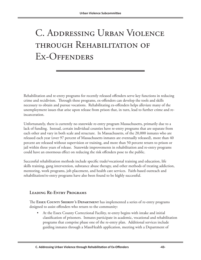# C. Addressing Urban Violence through Rehabilitation of Ex-Offenders

Rehabilitation and re-entry programs for recently released offenders serve key functions in reducing crime and recidivism. Through these programs, ex-offenders can develop the tools and skills necessary to obtain and pursue vocations. Rehabilitating ex-offenders helps alleviate many of the unemployment issues that arise upon release from prison that, in turn, lead to further crime and reincarceration.

Unfortunately, there is currently no statewide re-entry program Massachusetts, primarily due to a lack of funding. Instead, certain individual counties have re-entry programs that are separate from each other and vary in both scale and structure. In Massachusetts, of the 20,000 inmates who are released each year (over 97 percent of Massachusetts inmates are eventually released), more than 40 percent are released without supervision or training, and more than 50 percent return to prison or jail within three years of release. Statewide improvements in rehabilitation and re-entry programs could have an enormous effect on reducing the risk offenders pose to the public.

Successful rehabilitation methods include specific trade/vocational training and education, life skills training, gang intervention, substance abuse therapy, and other methods of treating addiction, mentoring, work programs, job placement, and health care services. Faith-based outreach and rehabilitation/re-entry programs have also been found to be highly successful.

#### **Leading Re-Entry Programs**

The **Essex County Sheriff's Department** has implemented a series of re-entry programs designed to assist offenders who return to the community:

• At the Essex County Correctional Facility, re-entry begins with intake and initial classification of prisoners. Inmates participate in academic, vocational and rehabilitation programs that comprise phase one of the re-entry plan. Additional services include guiding inmates through a MassHealth application, meeting with a Department of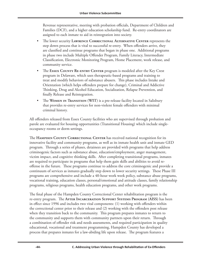Revenue representative, meeting with probation officials, Department of Children and Families (DCF), and a higher education scholarship fund. Re-entry coordinators are assigned to each inmate to aid in reintegration into society.

- The lower security **Lawrence Correctional Alternative Center** represents the step down process that is vital to successful re-entry. When offenders arrive, they are classified and continue programs that began in phase one. Additional programs in phase two include Multiple Offender Program, Family Literacy, Intermediate Classification, Electronic Monitoring Program, Home Placement, work release, and community service.
- The **ESSEX COUNTY RE-ENTRY CENTER** program is modeled after the Key Crest program in Delaware, which uses therapeutic-based programs and training to treat and modify behaviors of substance abusers. This phase includes Intake and Orientation (which helps offenders prepare for change), Criminal and Addictive Thinking, Drug and Alcohol Education, Socialization, Relapse Prevention, and finally Release and Reintegration.
- The **Women in Transition (WIT)** is a pre-release facility located in Salisbury that provides re-entry services for non-violent female offenders with minimal criminal history.

All offenders released from Essex County facilities who are supervised through probation and parole are evaluated for housing opportunities (Transitional Housing) which include singleoccupancy rooms or dorm settings.

The **Hampden County Correctional Center** has received national recognition for its innovative facility and community programs, as well as its inmate health unit and inmate GED program. Through a series of phases, detainees are provided with programs that help address criminogenic factors such as substance abuse, education/employment, anger management, victim impact, and cognitive thinking skills. After completing transitional programs, inmates are required to participate in programs that help them gain skills and abilities to avoid reoffense in the future. These programs continue to address the core criminogenic and provide a continuum of services as inmates gradually step down to lower security settings. These Phase III programs are comprehensive and include a 40-hour work week policy, substance abuse programs, vocational training, education classes, personal/emotional and attitude classes, family relationship programs, religious programs, health education programs, and other work programs.

The final phase of the Hampden County Correctional Center rehabilitation program is the re-entry program. The **After Incarceration Support Systems Program (AISS)** has been in effect since 1996 and includes two vital components: (1) working with offenders within the correctional center prior to their release and (2) working with the offenders post release when they transition back to the community. This program prepares inmates to return to the community and supports them with community partners upon their return. Through a combination of offender risk and needs assessments, and required participation in quality educational, vocational and treatment programming, Hampden County has developed a process that prepares inmates for a law-abiding life upon release. The program features a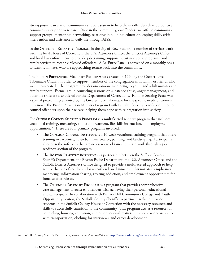strong post-incarceration community support system to help the ex-offenders develop positive community ties prior to release. Once in the community, ex-offenders are offered community support groups, mentoring, networking, relationship building, education, coping skills, crisis intervention and assistance in daily life through AISS.

In the **Offender Re-Entry Program** in the city of New Bedford, a number of services work with the local House of Correction, the U.S. Attorney's Office, the District Attorney's Office, and local law enforcement to provide job training, support, substance abuse programs, and family services to recently released offenders. A Re-Entry Panel is convened on a monthly basis to identify inmates who are approaching release back into the community.

The **Prison Prevention Ministry Program** was created in 1994 by the Greater Love Tabernacle Church in order to support members of the congregation with family or friends who were incarcerated. The program provides one-on-one mentoring to youth and adult inmates and family support. Formal group counseling sessions on substance abuse, anger management, and other life skills are also offered for the Department of Corrections. Families Seeking Peace was a special project implemented by the Greater Love Tabernacle for the specific needs of women in prison. The Prison Prevention Ministry Program (with Families Seeking Peace) continues to counsel offenders upon their release, helping them cope with reintegration into society.

The **Suffolk County Sheriff's Program** is a multifaceted re-entry program that includes vocational training, mentoring, addiction treatment, life skills instruction, and employment opportunities.26 There are four primary programs involved:

- The **Common Ground Institute** is a 10-week vocational training program that offers training in carpentry, custodial maintenance, painting, and landscaping. Participants also learn the soft skills that are necessary to obtain and retain work through a job readiness section of the program.
- The **Boston RE-ENTRY INITIATIVE** is a partnership between the Suffolk County Sheriff's Department, the Boston Police Department, the U.S. Attorney's Office, and the Suffolk District Attorney's Office designed to provide a multifaceted approach to help reduce the rate of recidivism for recently released inmates. This initiative emphasizes mentoring, information sharing, treating addiction, and employment opportunities for inmates after release.
- The **OFFENDER RE-ENTRY PROGRAM** is a program that provides comprehensive case management to assist ex-offenders with achieving their personal, educational and career goals. In collaboration with Bunker Hill Community College and Youth Opportunity Boston, the Suffolk County Sheriff's Department seeks to provide students in the Suffolk County House of Correction with the necessary resources and skills to successfully transition to the community. This program acts as a resource for counseling, housing, education, and other personal matters. It also provides assistance with transportation, clothing for interviews, and career development.

<sup>26</sup> Suffolk County Sheriff's Department, *Re-Entry Services*, *available at* <http://www.scsdma.org/reentryServices/index.html>.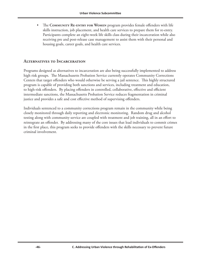• The **Community Re-entry for Women** program provides female offenders with life skills instruction, job placement, and health care services to prepare them for re-entry. Participants complete an eight-week life skills class during their incarceration while also receiving pre and post-release case management to assist them with their personal and housing goals, career goals, and health care services.

#### **Alternatives to Incarceration**

Programs designed as alternatives to incarceration are also being successfully implemented to address high risk groups. The Massachusetts Probation Service currently operates Community Corrections Centers that target offenders who would otherwise be serving a jail sentence. This highly structured program is capable of providing both sanctions and services, including treatment and education, to high-risk offenders. By placing offenders in controlled, collaborative, effective and efficient intermediate sanctions, the Massachusetts Probation Service reduces fragmentation in criminal justice and provides a safe and cost effective method of supervising offenders.

Individuals sentenced to a community corrections program remain in the community while being closely monitored through daily reporting and electronic monitoring. Random drug and alcohol testing along with community service are coupled with treatment and job training, all in an effort to reintegrate an offender. By addressing many of the core issues that lead individuals to commit crimes in the first place, this program seeks to provide offenders with the skills necessary to prevent future criminal involvement.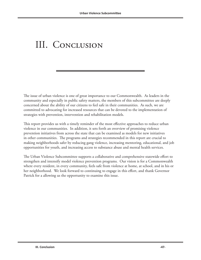### III. Conclusion

The issue of urban violence is one of great importance to our Commonwealth. As leaders in the community and especially in public safety matters, the members of this subcommittee are deeply concerned about the ability of our citizens to feel safe in their communities. As such, we are committed to advocating for increased resources that can be devoted to the implementation of strategies with prevention, intervention and rehabilitation models.

This report provides us with a timely reminder of the most effective approaches to reduce urban violence in our communities. In addition, it sets forth an overview of promising violence prevention initiatives from across the state that can be examined as models for new initiatives in other communities. The programs and strategies recommended in this report are crucial to making neighborhoods safer by reducing gang violence, increasing mentoring, educational, and job opportunities for youth, and increasing access to substance abuse and mental health services.

The Urban Violence Subcommittee supports a collaborative and comprehensive statewide effort to strengthen and intensify model violence prevention programs. Our vision is for a Commonwealth where every resident, in every community, feels safe from violence at home, at school, and in his or her neighborhood. We look forward to continuing to engage in this effort, and thank Governor Patrick for a allowing us the opportunity to examine this issue.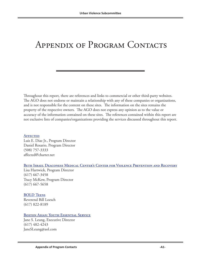### Appendix of Program Contacts

Throughout this report, there are references and links to commercial or other third-party websites. The AGO does not endorse or maintain a relationship with any of these companies or organizations, and is not responsible for the content on these sites. The information on the sites remains the property of the respective owners. The AGO does not express any opinion as to the value or accuracy of the information contained on these sites. The references contained within this report are not exclusive lists of companies/organizations providing the services discussed throughout this report.

#### **[Affected](http://www.iamaffected.com)**

Luis E. Diaz Jr., Program Director Daniel Rosario, Program Director (508) 757-3333 affected@charter.net

#### **[Beth Israel Deaconess Medical Center's Center for Violence Prevention and Recovery](http://www.bidmc.harvard.edu/CentersandDepartments/Departments/SocialWork/SocialWorkPrograms/CenterforViolencePreventionandRecovery.aspx)**

Lisa Hartwick, Program Director (617) 667-3458 Tracy McKew, Program Director (617) 667-5658

#### **[BOLD Teens](http://www.boldteens.org)**

Reverend Bill Loesch (617) 822-8189

#### **[Boston Asian: Youth Essential Service](http://bostonasianyes.org)**

Jane S. Leung, Executive Director (617) 482-4243 JaneSLeung@aol.com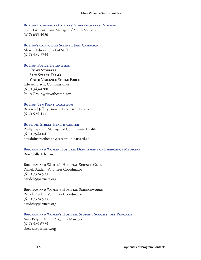#### **[Boston Community Centers' Streetworkers Program](http://ojjdp.ncjrs.org/pubs/gun_violence/profile58.html)**

Tracy Litthcut, Unit Manager of Youth Services (617) 635-4920

#### **[Boston's Corporate Summer Jobs Campaign](www.bostonpic.org/programs/summer-jobs)**

Alysia Ordway, Chief of Staff (617) 423-3755

#### **[Boston Police Department](www.cityofboston.gov/Police)**

**Crime Stoppers Safe Street Teams Youth Violence Strike Force** Edward Davis, Commissioner (617) 343-4200 PoliceGroup@cityofboston.gov

#### **BOSTON TEN POINT COALITION**

Reverend Jeffery Brown, Executive Director (617) 524-4331

#### **BOWDOIN STREET HEALTH CENTER**

Philly Laptiste, Manager of Community Health (617) 754-0041 bowdoinstreethealth@caregroup.harvard.edu

#### **[Brigham and Women Hospital Department of Emergency Medicine](www.brighamandwomens.org/emergencymedicine)**

Ron Walls, Chairman

#### **Brigham and Women's Hospital Science Clubs**

Pamela Audeh, Volunteer Coordinator (617) 732-6533 paudeh@partners.org

#### **Brigham and Women's Hospital Scienceworks**

Pamela Audeh, Volunteer Coordinator (617) 732-6533 paudeh@partners.org

#### **[Brigham and Women's Hospital Student Success Jobs Program](www.brighamandwomens.org/communityprograms/ssjp)**

Amy Belyea, Youth Programs Manager (617) 525-6725 abelyea@partners.org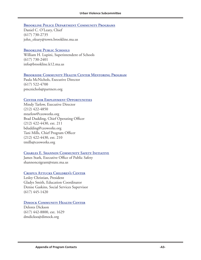#### **[Brookline Police Department Community Programs](www.brooklinepolice.com/programs)**

Daniel C. O'Leary, Chief (617) 730-2735 john\_oleary@town.brookline.ma.us

#### **BROOKLINE PUBLIC SCHOOLS**

William H. Lupini, Superintendent of Schools (617) 730-2401 info@brookline.k12.ma.us

#### **[Brookside Community Health Center Mentoring Program](http://www.brighamandwomens.org/primarycare/offices/brookside.aspx)**

Paula McNichols, Executive Director (617) 522-4700 pmcnichols@partners.org

#### **[Center for Employment Opportunities](www.ceoworks.org)**

Mindy Tarlow, Executive Director (212) 422-4850 mtarlow@ceoworks.org Brad Dudding, Chief Operating Officer (212) 422-4430, ext. 211 bdudding@ceoworks.org Tani Mills, Chief Program Officer (212) 422-4430, ext. 210 tmills@ceoworks.org

#### **[Charles E. Shannon Community Safety Initiative](www.mass.gov/eopss)**

James Stark, Executive Office of Public Safety shannoncsigrant@state.ma.us

#### **[Crispus Attucks Children's Center](www.crispus-attucks.org)**

Lesley Christian, President Gladys Smith, Education Coordinator Denise Gaskins, Social Services Supervisor (617) 445-1420

#### **DIMOCK COMMUNITY HEALTH CENTER**

Delores Dickson (617) 442-8800, ext. 1629 dmdickso@dimock.org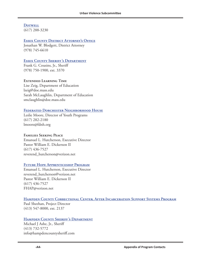**Dotwell** (617) 288-3230

#### **Essex County District Attorney's Office**

Jonathan W. Blodgett, District Attorney (978) 745-6610

#### **Essex County Sheriff's Department**

Frank G. Cousins, Jr., Sheriff (978) 750-1900, ext. 3370

#### **Extended Learning Time**

Lise Zeig, Department of Education lzeig@doe.mass.edu Sarah McLaughlin, Department of Education smclaughlin@doe.mass.edu

#### **Federated Dorchester Neighborhood House**

Leslie Moore, Director of Youth Programs (617) 282-2180 lmoore@fdnh.org

#### **Families Seeking Peace**

Emanuel L. Hutcherson, Executive Director Pastor William E. Dickerson II (617) 436-7527 reverend\_hutcherson@verizon.net

#### **Future Hope Apprenticeship Program**

Emanuel L. Hutcherson, Executive Director reverend\_hutcherson@verizon.net Pastor William E. Dickerson II (617) 436-7527 FHAP@verizon.net

#### **Hampden County Correctional Center, After Incarceration Support Systems Program**

Paul Sheehan, Project Director (413) 547-8000, ext. 2137

#### **HAMPDEN COUNTY SHERIFF'S DEPARTMENT**

Michael J Ashe, Jr., Sheriff (413) 732-5772 info@hampdencountysheriff.com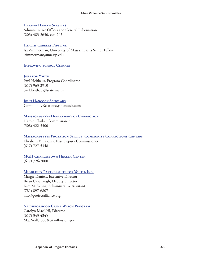#### **[Harbor Health Services](www.harborhealthservices.org)**

Administrative Offices and General Information (203) 483-2630, ext. 245

#### **[Health Careers Pipeline](http://www.massachusetts.edu/umassstem/worcester.html)**

Isa Zimmerman, University of Massachusetts Senior Fellow izimmerman@umassp.edu

#### **IMPROVING SCHOOL CLIMATE**

**JOBS FOR YOUTH** Paul Heithaus, Program Coordinator (617) 963-2910 paul.heithaus@state.ma.us

#### **JOHN HANCOCK SCHOLARS**

CommunityRelations@jhancock.com

#### **[Massachusetts Department of Correction](www.mass.gov/doc)**

Harold Clarke, Commissioner (508) 422-3300

#### **[Massachusetts Probation Service: Community Corrections Centers](www.mass.gov/courts/probation)**

Elizabeth V. Tavares, First Deputy Commissioner (617) 727-5348

#### **MGH CHARLESTOWN HEALTH CENTER**

(617) 726-2000

#### **[Middlesex Partnerships for Youth, Inc.](www.projectalliance.org)**

Margie Daniels, Executive Director Brian Cavanaugh, Deputy Director Kim McKenna, Administrative Assistant (781) 897-6807 info@projectalliance.org

#### **[Neighborhood Crime Watch Program](www.bostoncrimewatch.com)**

Carolyn MacNeil, Director (617) 343-4345 MacNeilC.bpd@cityofboston.gov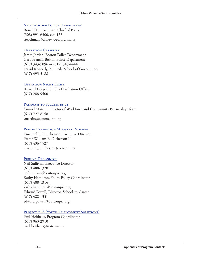#### **[New Bedford Police Department](www.newbedfordpd.com)**

Ronald E. Teachman, Chief of Police (508) 991-6300, ext. 153 rteachman@ci.new-bedford.ma.us

#### **OPERATION CEASEFIRE**

James Jordan, Boston Police Department Gary French, Boston Police Department (617) 343-5096 or (617) 343-4444 David Kennedy, Kennedy School of Government (617) 495-5188

#### **OPERATION NIGHT LIGHT**

Bernard Fitzgerald, Chief Probation Officer (617) 288-9500

#### PATHWAYS TO SUCCESS BY 21

Samuel Martin, Director of Workforce and Community Partnership Team (617) 727-8158 smartin@commcorp.org

#### **[Prison Prevention Ministry Program](http://gltprisonpreventionministry.com/ )**

Emanuel L. Hutcherson, Executive Director Pastor William E. Dickerson II (617) 436-7527 reverend\_hutcherson@verizon.net

#### **PROJECT RECONNECT**

Neil Sullivan, Executive Director (617) 488-1320 neil.sullivan@bostonpic.org Kathy Hamilton, Youth Policy Coordinator (617) 488-1316 kathy.hamilton@bostonpic.org Edward Powell, Director, School-to-Career (617) 488-1351 edward.powell@bostonpic.org

#### PROJECT YES (YOUTH EMPLOYMENT SOLUTIONS)

Paul Heithaus, Program Coordinator (617) 963-2910 paul.heithaus@state.ma.us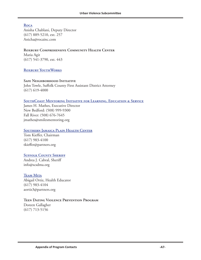#### **[Roca](www.rocainc.org)**

Anisha Chablani, Deputy Director (617) 889-5210, ext. 257 Anicha@rocainc.com

### **Roxbury Comprehensive Community Health Center**

Maria Agit (617) 541-3790, ext. 443

#### **[Roxbury YouthWorks](www.roxburyyouthworks.org)**

#### **Safe Neighborhood Initiative**

John Towle, Suffolk County First Assistant District Attorney (617) 619-4000

#### **[SouthCoast Mentoring Initiative for Learning, Education & Service](www.southcoastsmiles.org)**

James H. Mathes, Executive Director New Bedford: (508) 999-9300 Fall River: (508) 676-7645 jmathes@smilesmentoring.org

#### **[Southern Jamaica Plain Health Center](http://www.brighamandwomens.org/primarycare/offices/sjphc.aspx)**

Tom Kieffer, Chairman (617) 983-4100 tkieffer@partners.org

#### **SUFFOLK COUNTY SHERIFF**

Andrea J. Cabral, Sheriff info@scsdma.org

#### **[Team Mita](www.teammita.org)**

Abigail Ortiz, Health Educator (617) 983-4104 aortiz3@partners.org

#### **Teen Dating Violence Prevention Program**

Doreen Gallagher (617) 713-5156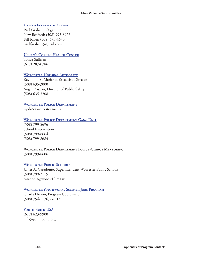#### **UNITED INTERFAITH ACTION**

Paul Graham, Organizer New Bedford: (508) 993-8976 Fall River: (508) 673-4670 paulfgraham@gmail.com

#### **[Upham's Corner Health Center](www.uphamscornerhealthctr.com)**

Tonya Sullivan (617) 287-0786

#### **[Worcester Housing Authority](www.worcester-housing.com)**

Raymond V. Mariano, Executive Director (508) 635-3000 Angel Rosario, Director of Public Safety (508) 635-3208

#### **[Worcester Police Department](www.ci.worcester.ma.us/wpd)**

wpd@ci.worcester.ma.us

#### **[Worcester Police Department Gang Unit](www.ci.worcester.ma.us/wpd)**

(508) 799-8696 School Intervention (508) 799-8664 (508) 799-8684

#### **Worcester Police Department Police-Clergy Mentoring**

(508) 799-8606

#### **WORCESTER PUBLIC SCHOOLS**

James A. Caradonio, Superintendent Worcester Public Schools (508) 799-3115 caradonia@worc.k12.ma.us

#### **[Worcester Youthworks Summer Jobs Program](http://www.wcac.net/yf_youthworks.html)**

Charla Hixson, Program Coordinator (508) 754-1176, ext. 139

#### **YOUTH BUILD USA**

(617) 623-9900 info@youthbuild.org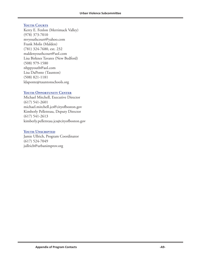#### **YOUTH COURTS**

Kerry E. Fenlon (Merrimack Valley) (978) 373-7010 mvyouthcourt@yahoo.com Frank Molis (Malden) (781) 324-7680, ext. 232 maldenyouthcourt@aol.com Lisa Birknes Tavares (New Bedford) (508) 979-1580 nbppyouth@aol.com Lisa DaPonte (Taunton) (508) 821-1181 ldaponte@tauntonschools.org

#### YOUTH OPPORTUNITY CENTER

Michael Mitchell, Executive Director (617) 541-2601 michael.mitchell.jcs@cityofboston.gov Kimberly Pelletreau, Deputy Director (617) 541-2613 kimberly.pelletreau.jcs@cityofboston.gov

#### **YOUTH UNSCRIPTED**

Jamie Ullrich, Program Coordinator (617) 524-7049 jullrich@urbanimprov.org